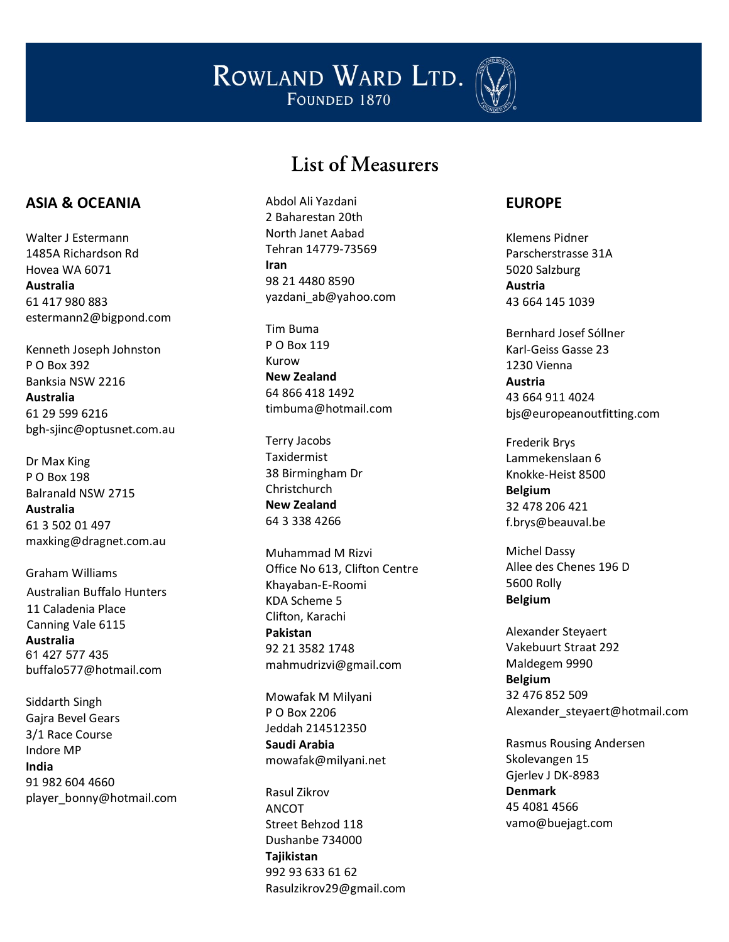

#### List of Measurers

#### **ASIA & OCEANIA**

Walter J Estermann 1485A Richardson Rd Hovea WA 6071 **Australia** 61 417 980 883 estermann2@bigpond.com

Kenneth Joseph Johnston P O Box 392 Banksia NSW 2216 **Australia** 61 29 599 6216 bgh -sjinc@optusnet.com.au

Dr Max King P O Box 198 Balranald NSW 2715 **Australia** 61 3 502 01 497 maxking@dragnet.com.au

Graham Williams Australian Buffalo Hunters 11 Caladenia Place Canning Vale 6115 **Australia** 61 427 577 435 buffalo577@hotmail.com

Siddarth Singh Gajra Bevel Gears 3/1 Race Course Indore MP **India** 91 982 604 4660 player\_bonny@hotmail.com Abdol Ali Yazdani 2 Baharestan 20th North Janet Aabad Tehran 14779 -73569 **Iran** 98 21 4480 8590 yazdani\_ab@yahoo.com

Tim Buma P O Box 119 Kurow **New Zealand** 64 866 418 1492 timbuma@hotmail.com

Terry Jacobs Taxidermist 38 Birmingham Dr Christchurch **New Zealand** 64 3 338 4266

Muhammad M Rizvi Office No 613, Clifton Centre Khayaban - E -Roomi KDA Scheme 5 Clifton, Karachi **Pakistan** 92 21 3582 1748 mahmudrizvi@gmail.com

Mowafak M Milyani P O Box 2206 Jeddah 214512350 **Saudi Arabia** mowafak@milyani.net

Rasul Zikrov ANCOT Street Behzod 118 Dushanbe 734000 **Tajikistan** 992 93 633 61 62 Rasulzikrov29@gmail.com

#### **EUROPE**

Klemens Pidner Parscherstrasse 31A 5020 Salzburg **Austria** 43 664 145 1039

Bernhard Josef Sóllner Karl -Geiss Gasse 23 1230 Vienna **Austria** 43 664 911 4024 bjs@europeanoutfitting.com

Frederik Brys Lammekenslaan 6 Knokke -Heist 8500 **Belgium** 32 478 206 421 f.brys@beauval.be

Michel Dassy Allee des Chenes 196 D 5600 Rolly **Belgium**

Alexander Steyaert Vakebuurt Straat 292 Maldegem 9990 **Belgium** 32 476 852 509 Alexander\_steyaert@hotmail.com

Rasmus Rousing Andersen Skolevangen 15 Gjerlev J DK -8983 **Denmark** 45 4081 4566 vamo@buejagt.com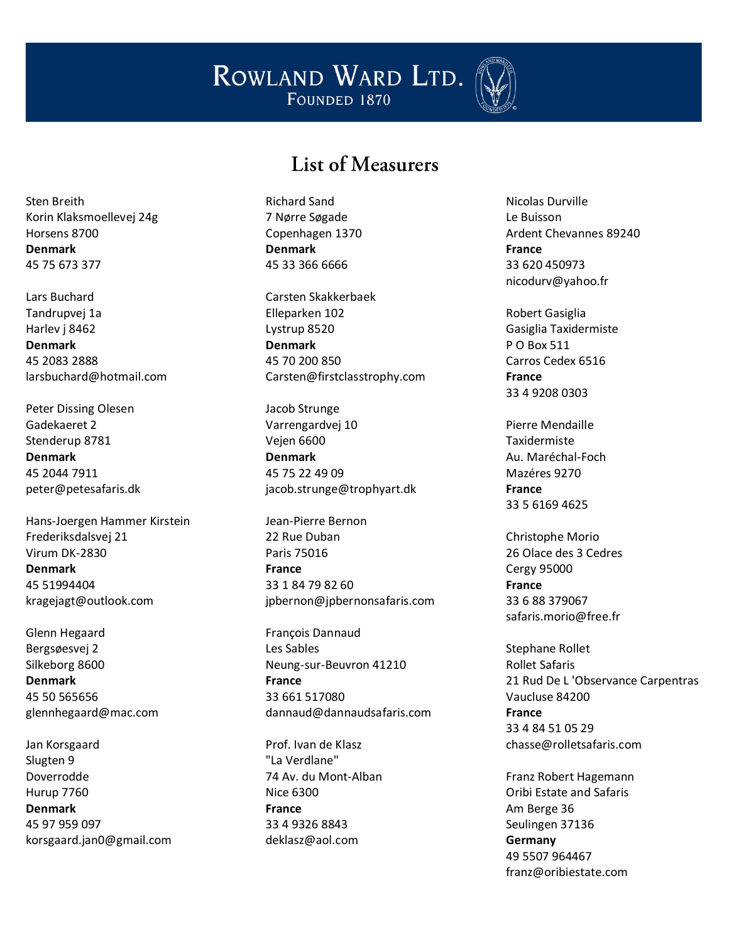

#### List of Measurers

Sten Breith Korin Klaksmoellevej 24g Horsens 8700 **Denmark** 45 75 673 377

Lars Buchard Tandrupvej 1a Harlev j 8462 **Denmark** 45 2083 2888 larsbuchard@hotmail.com

Peter Dissing Olesen Gadekaeret 2 Stenderup 8781 **Denmark** 45 2044 7911 peter@petesafaris.dk

Hans-Joergen Hammer Kirstein Frederiksdalsvej 21 Virum DK-2830 **Denmark** 45 51994404 kragejagt@outlook.com

Glenn Hegaard Bergsøesvej 2 Silkeborg 8600 **Denmark** 45 50 565656 glennhegaard@mac.com

Jan Korsgaard Slugten 9 Doverrodde Hurup 7760 **Denmark** 45 97 959 097 korsgaard.jan0@gmail.com Richard Sand 7 Nørre Søgade Copenhagen 1370 **Denmark** 45 33 366 6666

Carsten Skakkerbaek Elleparken 102 Lystrup 8520 **Denmark** 45 70 200 850 Carsten@firstclasstrophy.com

Jacob Strunge Varrengardvej 10 Vejen 6600 **Denmark** 45 75 22 49 09 jacob.strunge@trophyart.dk

Jean-Pierre Bernon 22 Rue Duban Paris 75016 **France** 33 1 84 79 82 60 [jpbernon@jpbernonsafaris.com](mailto:jpbernon@jpbernonsafaris.com)

François Dannaud Les Sables Neung-sur-Beuvron 41210 **France** 33 661 517080 dannaud@dannaudsafaris.com

Prof. Ivan de Klasz "La Verdlane" 74 Av. du Mont-Alban Nice 6300 **France** 33 4 9326 8843 deklasz@aol.com

Nicolas Durville Le Buisson Ardent Chevannes 89240 **France** 33 620 450973 nicodurv@yahoo.fr

Robert Gasiglia Gasiglia Taxidermiste P O Box 511 Carros Cedex 6516 **France** 33 4 9208 0303

Pierre Mendaille Taxidermiste Au. Maréchal-Foch Mazéres 9270 **France** 33 5 6169 4625

Christophe Morio 26 Olace des 3 Cedres Cergy 95000 **France** 33 6 88 379067 safaris.morio@free.fr

Stephane Rollet Rollet Safaris 21 Rud De L 'Observance Carpentras Vaucluse 84200 **France** 33 4 84 51 05 29 chasse@rolletsafaris.com

Franz Robert Hagemann Oribi Estate and Safaris Am Berge 36 Seulingen 37136 **Germany** 49 5507 964467 franz@oribiestate.com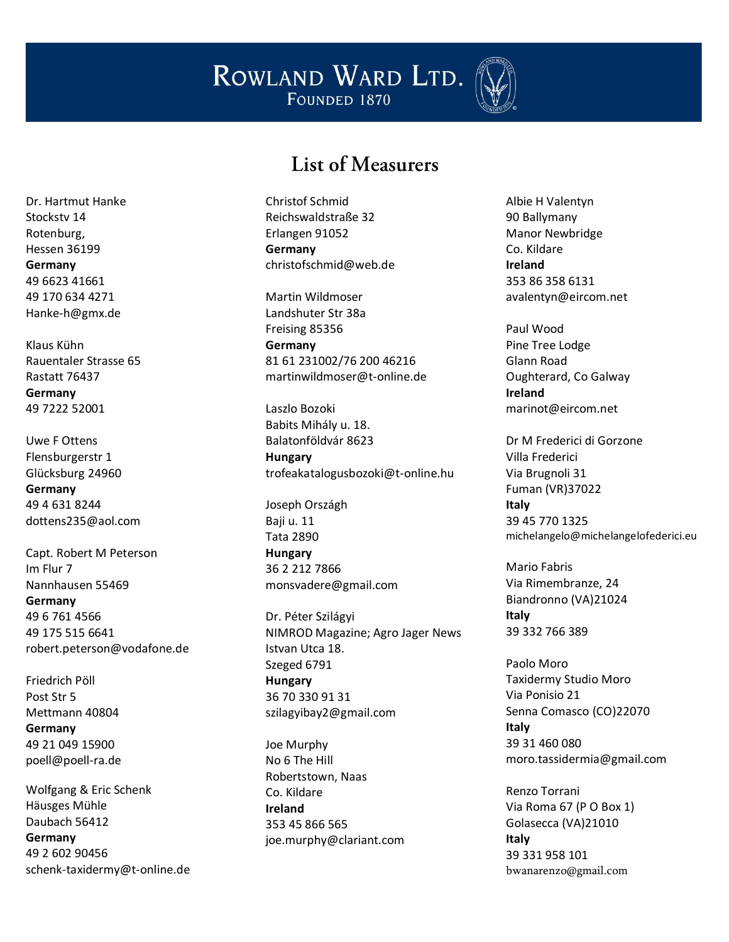

#### List of Measurers

Dr. Hartmut Hanke Stockstv 14 Rotenburg, Hessen 36199 **Germany** 49 6623 41661 49 170 634 4271 Hanke-h@gmx.de

Klaus Kühn Rauentaler Strasse 65 Rastatt 76437 **Germany** 49 7222 52001

Uwe F Ottens Flensburgerstr 1 Glücksburg 24960 **Germany** 49 4 631 8244 dottens235@aol.com

Capt. Robert M Peterson Im Flur 7 Nannhausen 55469 **Germany** 49 6 761 4566 49 175 515 6641 robert.peterson@vodafone.de

Friedrich Pöll Post Str 5 Mettmann 40804 **Germany** 49 21 049 15900 poell@poell-ra.de

Wolfgang & Eric Schenk Häusges Mühle Daubach 56412 **Germany** 49 2 602 90456 schenk-taxidermy@t-online.de Christof Schmid Reichswaldstraße 32 Erlangen 91052 **Germany** christofschmid@web.de

Martin Wildmoser Landshuter Str 38a Freising 85356 **Germany** 81 61 231002/76 200 46216 martinwildmoser@t-online.de

Laszlo Bozoki Babits Mihály u. 18. Balatonföldvár 8623 **Hungary** trofeakatalogusbozoki@t-online.hu

Joseph Országh Baji u. 11 Tata 2890 **Hungary** 36 2 212 7866 monsvadere@gmail.com

Dr. Péter Szilágyi NIMROD Magazine; Agro Jager News Istvan Utca 18. Szeged 6791 **Hungary** 36 70 330 91 31 szilagyibay2@gmail.com

Joe Murphy No 6 The Hill Robertstown, Naas Co. Kildare **Ireland** 353 45 866 565 joe.murphy@clariant.com Albie H Valentyn 90 Ballymany Manor Newbridge Co. Kildare **Ireland** 353 86 358 6131 avalentyn@eircom.net

Paul Wood Pine Tree Lodge Glann Road Oughterard, Co Galway **Ireland** marinot@eircom.net

Dr M Frederici di Gorzone Villa Frederici Via Brugnoli 31 Fuman (VR)37022 **Italy** 39 45 770 1325 michelangelo@michelangelofederici.eu

Mario Fabris Via Rimembranze, 24 Biandronno (VA)21024 **Italy** 39 332 766 389

Paolo Moro Taxidermy Studio Moro Via Ponisio 21 Senna Comasco (CO)22070 **Italy** 39 31 460 080 moro.tassidermia@gmail.com

Renzo Torrani Via Roma 67 (P O Box 1) Golasecca (VA)21010 **Italy** 39 331 958 101 [bwanarenzo@gmail.com](mailto:bwanarenzo@gmail.com)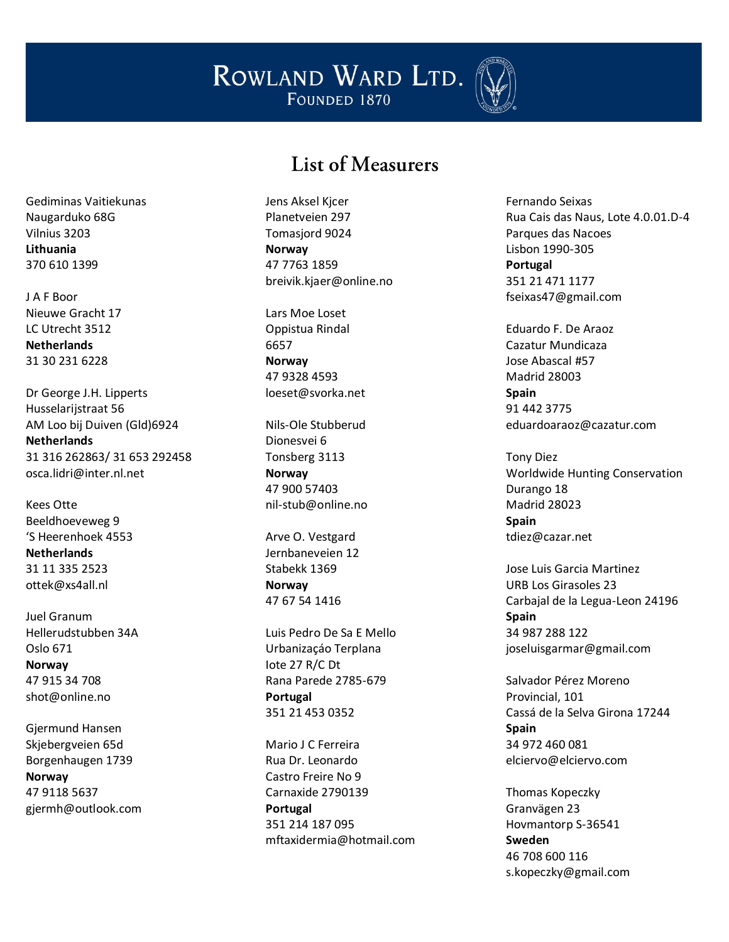

## List of Measurers

Gediminas Vaitiekunas Naugarduko 68G Vilnius 3203 **Lithuania** 370 610 1399

J A F Boor Nieuwe Gracht 17 LC Utrecht 3512 **Netherlands** 31 30 231 6228

Dr George J.H. Lipperts Husselarijstraat 56 AM Loo bij Duiven (Gld)6924 **Netherlands** 31 316 262863/ 31 653 292458 osca.lidri@inter.nl.net

Kees Otte Beeldhoeveweg 9 'S Heerenhoek 4553 **Netherlands** 31 11 335 2523 ottek@xs4all.nl

Juel Granum Hellerudstubben 34A Oslo 671 **Norway** 47 915 34 708 shot@online.no

Gjermund Hansen Skjebergveien 65d Borgenhaugen 1739 **Norway** 47 9118 5637 [gjermh@outlook.com](mailto:gjermh@outlook.com) Jens Aksel Kjcer Planetveien 297 Tomasjord 9024 **Norway** 47 7763 1859 breivik.kjaer@online.no

Lars Moe Loset Oppistua Rindal 6657 **Norway** 47 9328 4593 loeset@svorka.net

Nils-Ole Stubberud Dionesvei 6 Tonsberg 3113 **Norway** 47 900 57403 nil-stub@online.no

Arve O. Vestgard Jernbaneveien 12 Stabekk 1369 **Norway** 47 67 54 1416

Luis Pedro De Sa E Mello Urbanizaçáo Terplana Iote 27 R/C Dt Rana Parede 2785-679 **Portugal** 351 21 453 0352

Mario J C Ferreira Rua Dr. Leonardo Castro Freire No 9 Carnaxide 2790139 **Portugal** 351 214 187 095 mftaxidermia@hotmail.com Fernando Seixas Rua Cais das Naus, Lote 4.0.01.D-4 Parques das Nacoes Lisbon 1990-305 **Portugal** 351 21 471 1177 fseixas47@gmail.com

Eduardo F. De Araoz Cazatur Mundicaza Jose Abascal #57 Madrid 28003 **Spain** 91 442 3775 eduardoaraoz@cazatur.com

Tony Diez Worldwide Hunting Conservation Durango 18 Madrid 28023 **Spain** tdiez@cazar.net

Jose Luis Garcia Martinez URB Los Girasoles 23 Carbajal de la Legua-Leon 24196 **Spain** 34 987 288 122 joseluisgarmar@gmail.com

Salvador Pérez Moreno Provincial, 101 Cassá de la Selva Girona 17244 **Spain** 34 972 460 081 elciervo@elciervo.com

Thomas Kopeczky Granvägen 23 Hovmantorp S-36541 **Sweden** 46 708 600 116 s.kopeczky@gmail.com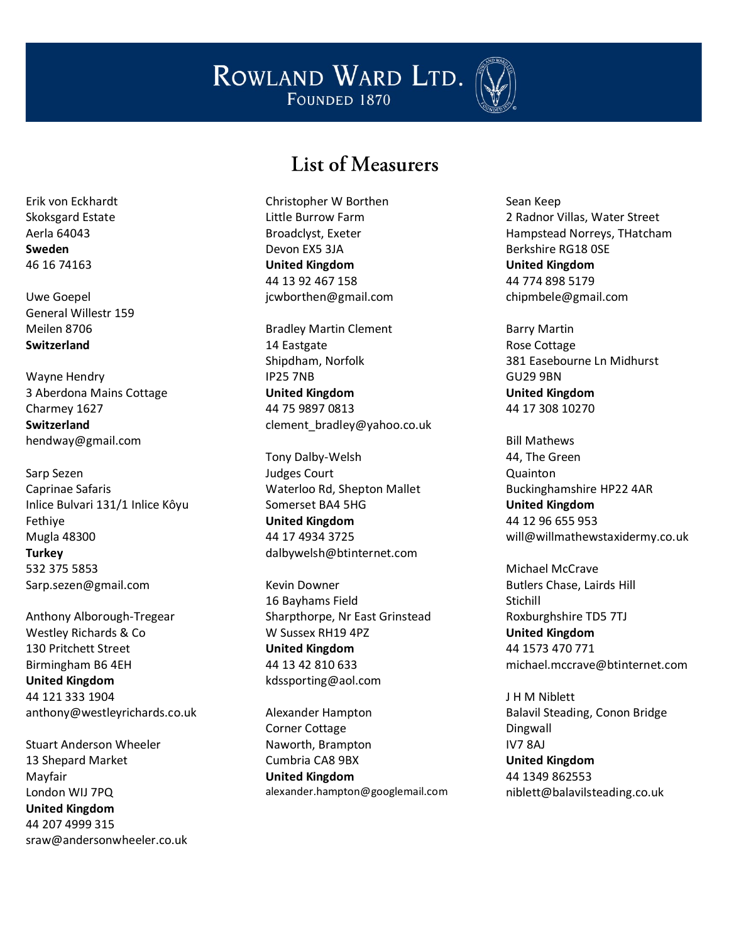

#### List of Measurers

Christopher W Borthen Little Burrow Farm Broadclyst, Exeter Devon EX5 3JA **United Kingdom** 44 13 92 467 158 jcwborthen@gmail.com

Bradley Martin Clement 14 Eastgate Shipdham, Norfolk IP25 7NB **United Kingdom** 44 75 9897 0813 clement\_bradley@yahoo.co.uk

Tony Dalby-Welsh Judges Court Waterloo Rd, Shepton Mallet Somerset BA4 5HG **United Kingdom** 44 17 4934 3725 dalbywelsh@btinternet.com

Kevin Downer 16 Bayhams Field Sharpthorpe, Nr East Grinstead W Sussex RH19 4PZ **United Kingdom** 44 13 42 810 633 kdssporting@aol.com

Alexander Hampton Corner Cottage Naworth, Brampton Cumbria CA8 9BX **United Kingdom** alexander.hampton@googlemail.com Sean Keep 2 Radnor Villas, Water Street Hampstead Norreys, THatcham Berkshire RG18 0SE **United Kingdom** 44 774 898 5179 chipmbele@gmail.com

Barry Martin Rose Cottage 381 Easebourne Ln Midhurst GU29 9BN **United Kingdom** 44 17 308 10270

Bill Mathews 44, The Green Quainton Buckinghamshire HP22 4AR **United Kingdom** 44 12 96 655 953 will@willmathewstaxidermy.co.uk

Michael McCrave Butlers Chase, Lairds Hill Stichill Roxburghshire TD5 7TJ **United Kingdom** 44 1573 470 771 michael.mccrave@btinternet.com

J H M Niblett Balavil Steading, Conon Bridge Dingwall IV7 8AJ **United Kingdom** 44 1349 862553 niblett@balavilsteading.co.uk

Erik von Eckhardt Skoksgard Estate Aerla 64043 **Sweden** 46 16 74163

Uwe Goepel General Willestr 159 Meilen 8706 **Switzerland**

Wayne Hendry 3 Aberdona Mains Cottage Charmey 1627 **Switzerland** hendway@gmail.com

Sarp Sezen Caprinae Safaris Inlice Bulvari 131/1 Inlice Kôyu Fethiye Mugla 48300 **Turkey** 532 375 5853 Sarp.sezen@gmail.com

Anthony Alborough-Tregear Westley Richards & Co 130 Pritchett Street Birmingham B6 4EH **United Kingdom** 44 121 333 1904 anthony@westleyrichards.co.uk

Stuart Anderson Wheeler 13 Shepard Market Mayfair London WIJ 7PQ **United Kingdom** 44 207 4999 315 sraw@andersonwheeler.co.uk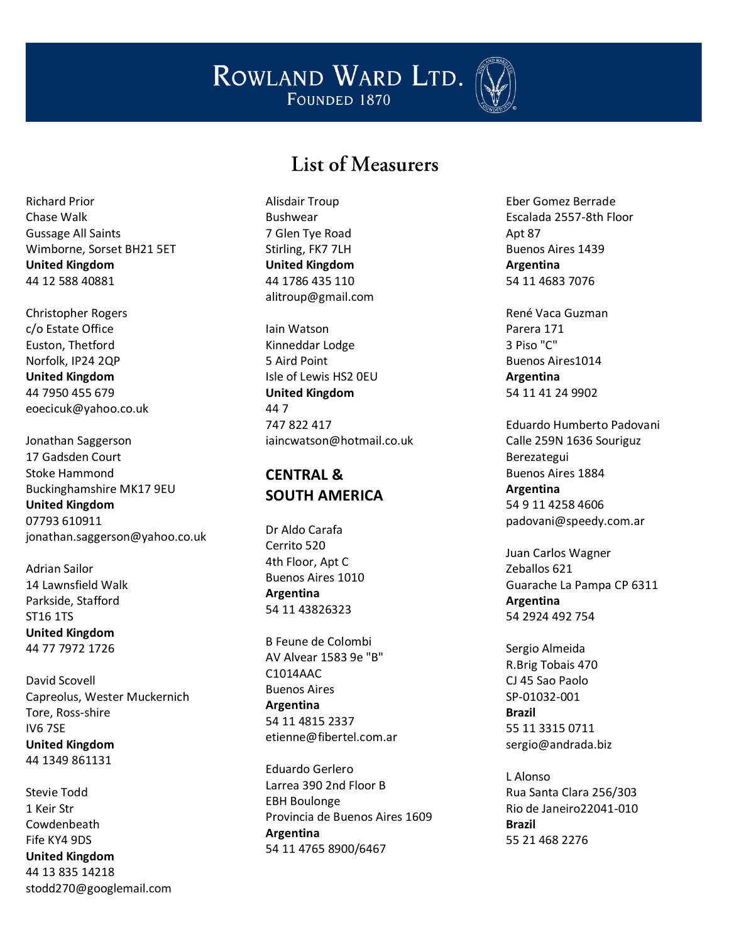

## List of Measurers

Richard Prior Chase Walk Gussage All Saints Wimborne, Sorset BH21 5ET **United Kingdom** 44 12 588 40881

Christopher Rogers c/o Estate Office Euston, Thetford Norfolk, IP24 2QP **United Kingdom** 44 7950 455 679 eoecicuk@yahoo.co.uk

Jonathan Saggerson 17 Gadsden Court Stoke Hammond Buckinghamshire MK17 9EU **United Kingdom** 07793 610911 jonathan.saggerson@yahoo.co.uk

Adrian Sailor 14 Lawnsfield Walk Parkside, Stafford ST16 1TS **United Kingdom** 44 77 7972 1726

David Scovell Capreolus, Wester Muckernich Tore, Ross -shire IV6 7SE **United Kingdom** 44 1349 861131

Stevie Todd 1 Keir Str Cowdenbeath Fife KY4 9DS **United Kingdom** 44 13 835 14218 stodd270@googlemail.com Alisdair Troup Bushwear 7 Glen Tye Road Stirling, FK7 7LH **United Kingdom** 44 1786 435 110 alitroup@gmail.com

Iain Watson Kinneddar Lodge 5 Aird Point Isle of Lewis HS2 0EU **United Kingdom** 44 7 747 822 417 [iaincwatson@hotmail.co.uk](mailto:ottek@xs4all.nl) 

#### **CENTRAL & SOUTH AMERICA**

Dr Aldo Carafa Cerrito 520 4th Floor, Apt C Buenos Aires 1010 **Argentina** 54 11 43826323

B Feune de Colombi AV Alvear 1583 9e "B" C1014AAC Buenos Aires **Argentina** 54 11 4815 2337 etienne@fibertel.com.ar

Eduardo Gerlero Larrea 390 2nd Floor B EBH Boulonge Provincia de Buenos Aires 1609 **Argentina** 54 11 4765 8900/6467

Eber Gomez Berrade Escalada 2557 -8th Floor Apt 87 Buenos Aires 1439 **Argentina** 54 11 4683 7076

René Vaca Guzman Parera 171 3 Piso "C" Buenos Aires1014 **Argentina** 54 11 41 24 9902

Eduardo Humberto Padovani Calle 259N 1636 Souriguz Berezategui Buenos Aires 1884 **Argentina** 54 9 11 4258 4606 padovani@speedy.com.ar

Juan Carlos Wagner Zeballos 621 Guarache La Pampa CP 6311 **Argentina** 54 2924 492 754

Sergio Almeida R.Brig Tobais 470 CJ 45 Sao Paolo SP -01032 -001 **Brazil** 55 11 3315 0711 sergio@andrada.biz

L Alonso Rua Santa Clara 256/303 Rio de Janeiro22041 -010 **Brazil** 55 21 468 2276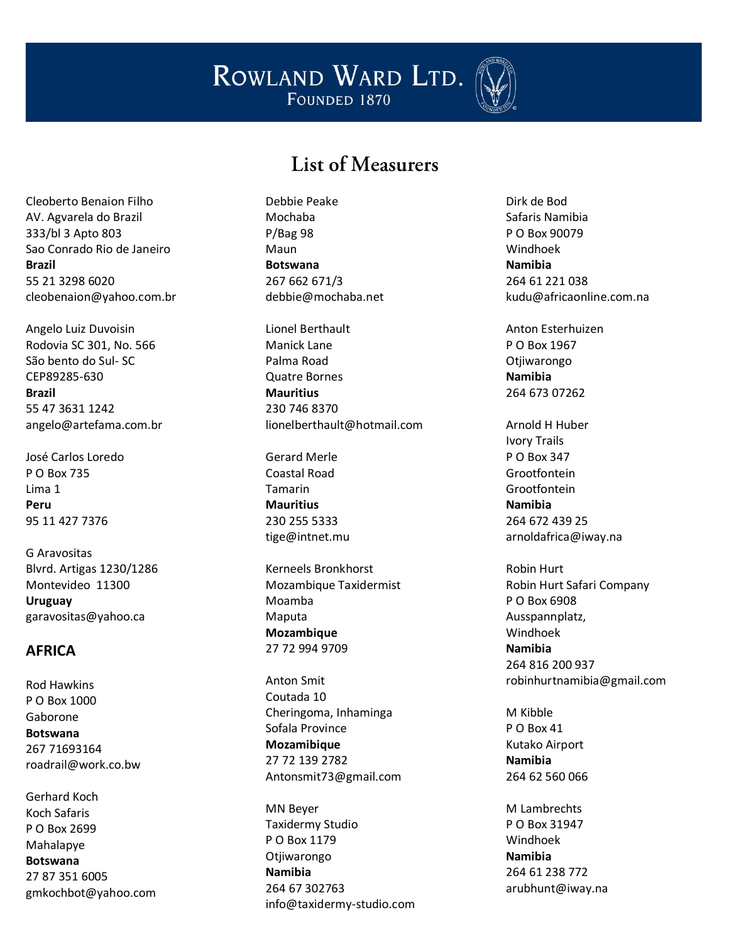

#### List of Measurers

Cleoberto Benaion Filho AV. Agvarela do Brazil 333/bl 3 Apto 803 Sao Conrado Rio de Janeiro **Brazil** 55 21 3298 6020 cleobenaion@yahoo.com.br

Angelo Luiz Duvoisin Rodovia SC 301, No. 566 São bento do Sul- SC CEP89285-630 **Brazil** 55 47 3631 1242 angelo@artefama.com.br

José Carlos Loredo P O Box 735 Lima 1 **Peru** 95 11 427 7376

G Aravositas Blvrd. Artigas 1230/1286 Montevideo 11300 **Uruguay** garavositas@yahoo.ca

#### **AFRICA**

Rod Hawkins P O Box 1000 Gaborone **Botswana** 267 71693164 roadrail@work.co.bw

Gerhard Koch Koch Safaris P O Box 2699 Mahalapye **Botswana** 27 87 351 6005 gmkochbot@yahoo.com Debbie Peake Mochaba P/Bag 98 Maun **Botswana** 267 662 671/3 debbie@mochaba.net

Lionel Berthault Manick Lane Palma Road Quatre Bornes **Mauritius** 230 746 8370 lionelberthault@hotmail.com

Gerard Merle Coastal Road Tamarin **Mauritius** 230 255 5333 tige@intnet.mu

Kerneels Bronkhorst Mozambique Taxidermist Moamba Maputa **Mozambique** 27 72 994 9709

Anton Smit Coutada 10 Cheringoma, Inhaminga Sofala Province **Mozamibique** 27 72 139 2782 Antonsmit73@gmail.com

MN Beyer Taxidermy Studio P O Box 1179 Otjiwarongo **Namibia** 264 67 302763 info@taxidermy-studio.com Dirk de Bod Safaris Namibia P O Box 90079 Windhoek **Namibia** 264 61 221 038 kudu@africaonline.com.na

Anton Esterhuizen P O Box 1967 Otjiwarongo **Namibia** 264 673 07262

Arnold H Huber Ivory Trails P O Box 347 Grootfontein Grootfontein **Namibia** 264 672 439 25 arnoldafrica@iway.na

Robin Hurt Robin Hurt Safari Company P O Box 6908 Ausspannplatz, Windhoek **Namibia** 264 816 200 937 robinhurtnamibia@gmail.com

M Kibble P O Box 41 Kutako Airport **Namibia** 264 62 560 066

M Lambrechts P O Box 31947 Windhoek **Namibia** 264 61 238 772 arubhunt@iway.na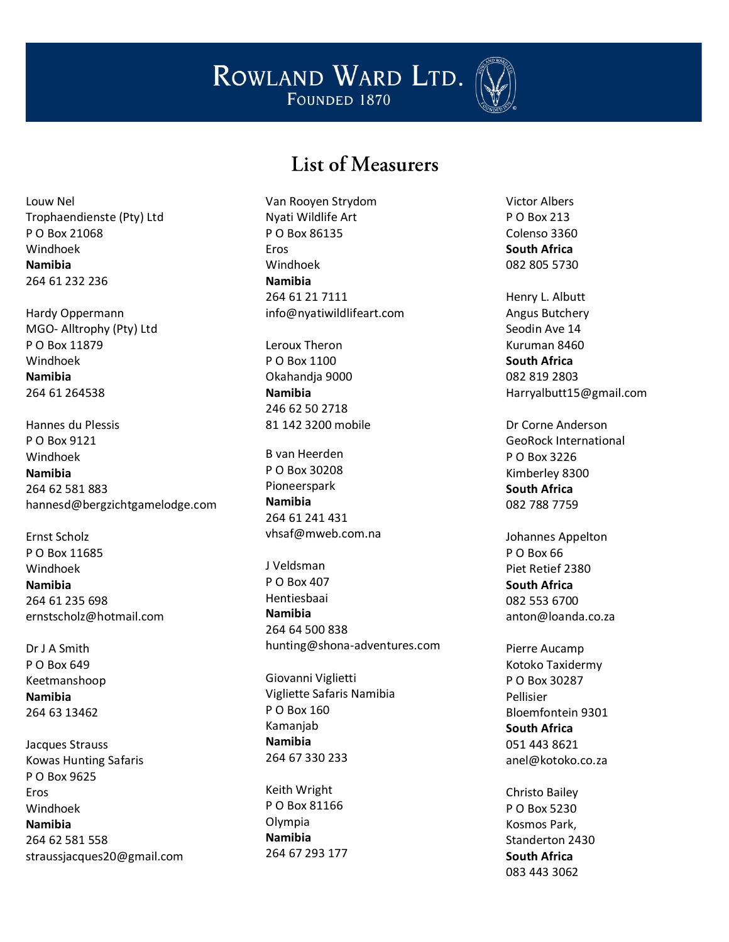

#### List of Measurers

Louw Nel Trophaendienste (Pty) Ltd P O Box 21068 Windhoek **Namibia** 264 61 232 236

Hardy Oppermann MGO- Alltrophy (Pty) Ltd P O Box 11879 Windhoek **Namibia** 264 61 264538

Hannes du Plessis P O Box 9121 Windhoek **Namibia** 264 62 581 883 hannesd@bergzichtgamelodge.com

Ernst Scholz P O Box 11685 Windhoek **Namibia** 264 61 235 698 ernstscholz@hotmail.com

Dr J A Smith P O Box 649 Keetmanshoop **Namibia** 264 63 13462

Jacques Strauss Kowas Hunting Safaris P O Box 9625 Eros Windhoek **Namibia** 264 62 581 558 straussjacques20@gmail.com Van Rooyen Strydom Nyati Wildlife Art P O Box 86135 Eros Windhoek **Namibia** 264 61 21 7111 info@nyatiwildlifeart.com

Leroux Theron P O Box 1100 Okahandja 9000 **Namibia** 246 62 50 2718 81 142 3200 mobile

B van Heerden P O Box 30208 Pioneerspark **Namibia** 264 61 241 431 vhsaf@mweb.com.na

J Veldsman P O Box 407 Hentiesbaai **Namibia** 264 64 500 838 hunting@shona-adventures.com

Giovanni Viglietti Vigliette Safaris Namibia P O Box 160 Kamanjab **Namibia** 264 67 330 233

Keith Wright P O Box 81166 Olympia **Namibia** 264 67 293 177 Victor Albers P O Box 213 Colenso 3360 **South Africa** 082 805 5730

Henry L. Albutt Angus Butchery Seodin Ave 14 Kuruman 8460 **South Africa** 082 819 2803 Harryalbutt15@gmail.com

Dr Corne Anderson GeoRock International P O Box 3226 Kimberley 8300 **South Africa** 082 788 7759

Johannes Appelton P O Box 66 Piet Retief 2380 **South Africa** 082 553 6700 anton@loanda.co.za

Pierre Aucamp Kotoko Taxidermy P O Box 30287 Pellisier Bloemfontein 9301 **South Africa** 051 443 8621 anel@kotoko.co.za

Christo Bailey P O Box 5230 Kosmos Park, Standerton 2430 **South Africa** 083 443 3062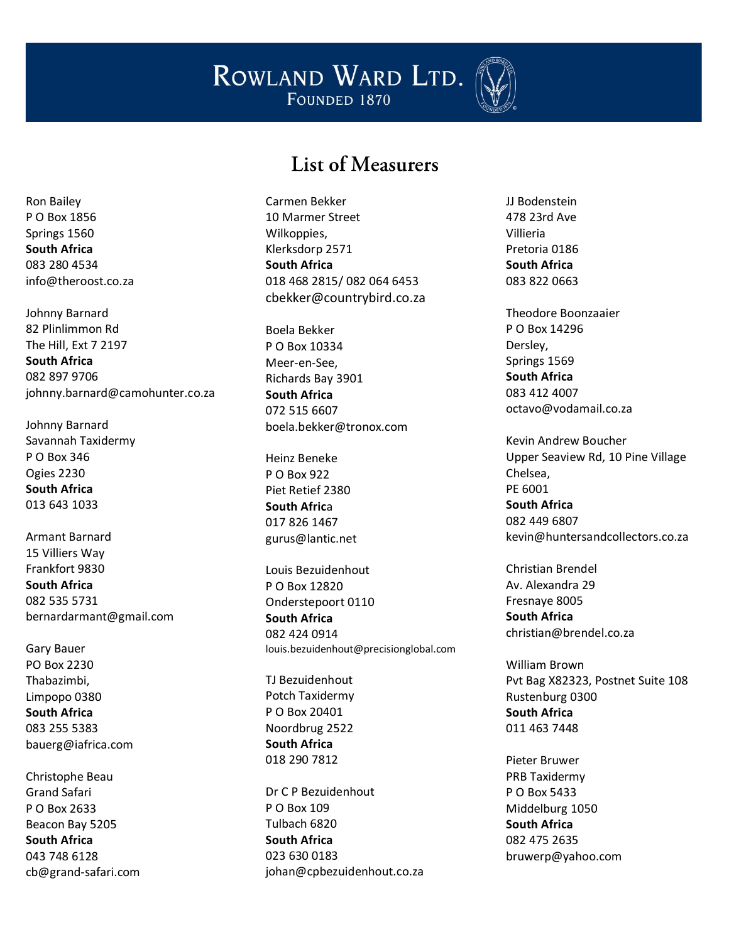

#### List of Measurers

Ron Bailey P O Box 1856 Springs 1560 **South Africa** 083 280 4534 info@theroost.co.za

Johnny Barnard 82 Plinlimmon Rd The Hill, Ext 7 2197 **South Africa** 082 897 9706 johnny.barnard@camohunter.co.za

Johnny Barnard Savannah Taxidermy P O Box 346 Ogies 2230 **South Africa** 013 643 1033

Armant Barnard 15 Villiers Way Frankfort 9830 **South Africa** 082 535 5731 bernardarmant@gmail.com

Gary Bauer PO Box 2230 Thabazimbi, Limpopo 0380 **South Africa** 083 255 5383 bauerg@iafrica.com

Christophe Beau Grand Safari P O Box 2633 Beacon Bay 5205 **South Africa** 043 748 6128 cb@grand-safari.com Carmen Bekker 10 Marmer Street Wilkoppies, Klerksdorp 2571 **South Africa** 018 468 2815/ 082 064 6453 [cbekker@countrybird.co.za](mailto:cbekker@countrybird.co.za)

Boela Bekker P O Box 10334 Meer-en-See, Richards Bay 3901 **South Africa** 072 515 6607 boela.bekker@tronox.com

Heinz Beneke P O Box 922 Piet Retief 2380 **South Afric**a 017 826 1467 gurus@lantic.net

Louis Bezuidenhout P O Box 12820 Onderstepoort 0110 **South Africa** 082 424 0914 louis.bezuidenhout@precisionglobal.com

TJ Bezuidenhout Potch Taxidermy P O Box 20401 Noordbrug 2522 **South Africa** 018 290 7812

Dr C P Bezuidenhout P O Box 109 Tulbach 6820 **South Africa** 023 630 0183 johan@cpbezuidenhout.co.za JJ Bodenstein 478 23rd Ave Villieria Pretoria 0186 **South Africa** 083 822 0663

Theodore Boonzaaier P O Box 14296 Dersley, Springs 1569 **South Africa** 083 412 4007 octavo@vodamail.co.za

Kevin Andrew Boucher Upper Seaview Rd, 10 Pine Village Chelsea, PE 6001

**South Africa** 082 449 6807 kevin@huntersandcollectors.co.za

Christian Brendel Av. Alexandra 29 Fresnaye 8005 **South Africa** christian@brendel.co.za

William Brown Pvt Bag X82323, Postnet Suite 108 Rustenburg 0300 **South Africa** 011 463 7448

Pieter Bruwer PRB Taxidermy P O Box 5433 Middelburg 1050 **South Africa** 082 475 2635 bruwerp@yahoo.com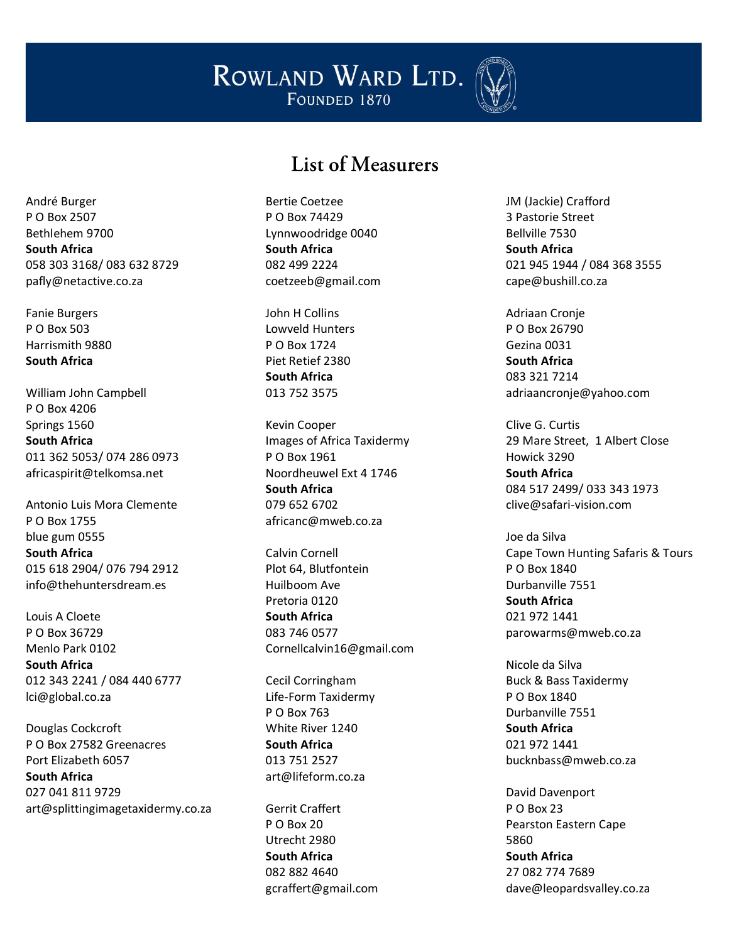

## List of Measurers

André Burger P O Box 2507 Bethlehem 9700 **South Africa** 058 303 3168/ 083 632 8729 pafly@netactive.co.za

Fanie Burgers P O Box 503 Harrismith 9880 **South Africa**

William John Campbell P O Box 4206 Springs 1560 **South Africa** 011 362 5053/ 074 286 0973 africaspirit@telkomsa.net

Antonio Luis Mora Clemente P O Box 1755 blue gum 0555 **South Africa** 015 618 2904/ 076 794 2912 info@thehuntersdream.es

Louis A Cloete P O Box 36729 Menlo Park 0102 **South Africa** 012 343 2241 / 084 440 6777 lci@global.co.za

Douglas Cockcroft P O Box 27582 Greenacres Port Elizabeth 6057 **South Africa** 027 041 811 9729 art@splittingimagetaxidermy.co.za Bertie Coetzee P O Box 74429 Lynnwoodridge 0040 **South Africa** 082 499 2224 coetzeeb@gmail.com

John H Collins Lowveld Hunters P O Box 1724 Piet Retief 2380 **South Africa** 013 752 3575

Kevin Cooper Images of Africa Taxidermy P O Box 1961 Noordheuwel Ext 4 1746 **South Africa** 079 652 6702 africanc@mweb.co.za

Calvin Cornell Plot 64, Blutfontein Huilboom Ave Pretoria 0120 **South Africa** 083 746 0577 Cornellcalvin16@gmail.com

Cecil Corringham Life-Form Taxidermy P O Box 763 White River 1240 **South Africa** 013 751 2527 art@lifeform.co.za

Gerrit Craffert P O Box 20 Utrecht 2980 **South Africa** 082 882 4640 gcraffert@gmail.com JM (Jackie) Crafford 3 Pastorie Street Bellville 7530 **South Africa** 021 945 1944 / 084 368 3555 cape@bushill.co.za

Adriaan Cronje P O Box 26790 Gezina 0031 **South Africa** 083 321 7214 adriaancronje@yahoo.com

Clive G. Curtis 29 Mare Street, 1 Albert Close Howick 3290 **South Africa** 084 517 2499/ 033 343 1973 clive@safari-vision.com

Joe da Silva Cape Town Hunting Safaris & Tours P O Box 1840 Durbanville 7551 **South Africa** 021 972 1441 parowarms@mweb.co.za

Nicole da Silva Buck & Bass Taxidermy P O Box 1840 Durbanville 7551 **South Africa** 021 972 1441 bucknbass@mweb.co.za

David Davenport P O Box 23 Pearston Eastern Cape 5860 **South Africa** 27 082 774 7689 dave@leopardsvalley.co.za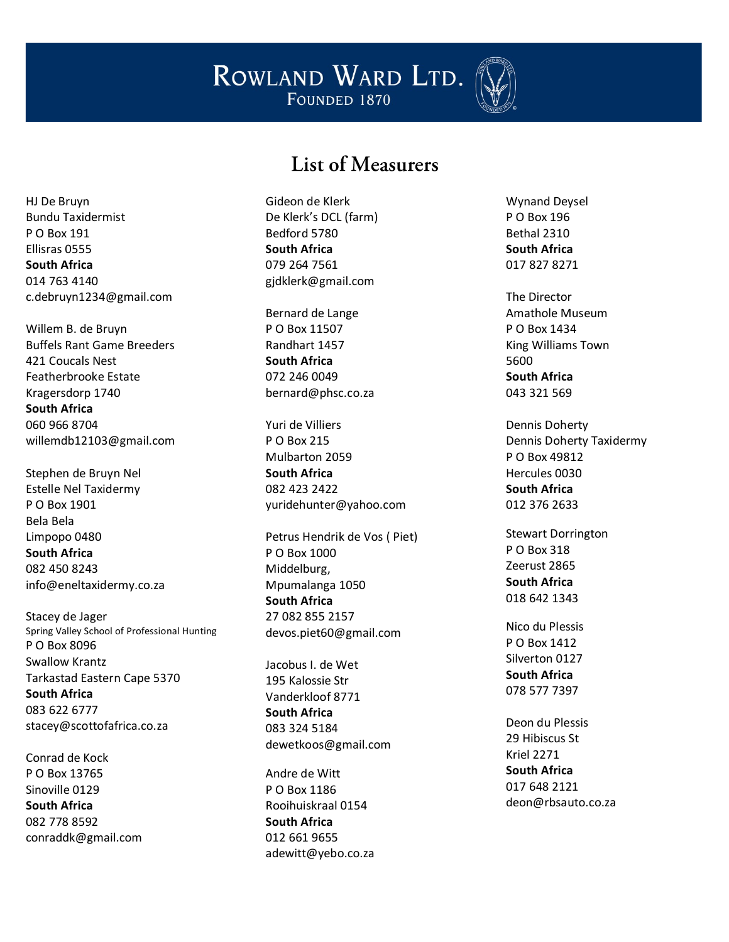

## List of Measurers

HJ De Bruyn Bundu Taxidermist P O Box 191 Ellisras 0555 **South Africa** 014 763 4140 c.debruyn1234@gmail.com

Willem B. de Bruyn Buffels Rant Game Breeders 421 Coucals Nest Featherbrooke Estate Kragersdorp 1740 **South Africa** 060 966 8704 willemdb12103@gmail.com

Stephen de Bruyn Nel Estelle Nel Taxidermy P O Box 1901 Bela Bela Limpopo 0480 **South Africa** 082 450 8243 info@eneltaxidermy.co.za

Stacey de Jager Spring Valley School of Professional Hunting P O Box 8096 Swallow Krantz Tarkastad Eastern Cape 5370 **South Africa** 083 622 6777 stacey@scottofafrica.co.za

Conrad de Kock P O Box 13765 Sinoville 0129 **South Africa** 082 778 8592 conraddk@gmail.com Gideon de Klerk De Klerk's DCL (farm) Bedford 5780 **South Africa** 079 264 7561 gjdklerk@gmail.com

Bernard de Lange P O Box 11507 Randhart 1457 **South Africa** 072 246 0049 bernard@phsc.co.za

Yuri de Villiers P O Box 215 Mulbarton 2059 **South Africa** 082 423 2422 yuridehunter@yahoo.com

Petrus Hendrik de Vos ( Piet) P O Box 1000 Middelburg, Mpumalanga 1050 **South Africa** 27 082 855 2157 devos.piet60@gmail.com

Jacobus I. de Wet 195 Kalossie Str Vanderkloof 8771 **South Africa** 083 324 5184 dewetkoos@gmail.com

Andre de Witt P O Box 1186 Rooihuiskraal 0154 **South Africa** 012 661 9655 adewitt@yebo.co.za

Wynand Deysel P O Box 196 Bethal 2310 **South Africa** 017 827 8271

The Director Amathole Museum P O Box 1434 King Williams Town 5600 **South Africa** 043 321 569

Dennis Doherty Dennis Doherty Taxidermy P O Box 49812 Hercules 0030 **South Africa** 012 376 2633

Stewart Dorrington P O Box 318 Zeerust 2865 **South Africa** 018 642 1343

Nico du Plessis P O Box 1412 Silverton 0127 **South Africa** 078 577 7397

Deon du Plessis 29 Hibiscus St Kriel 2271 **South Africa** 017 648 2121 deon@rbsauto.co.za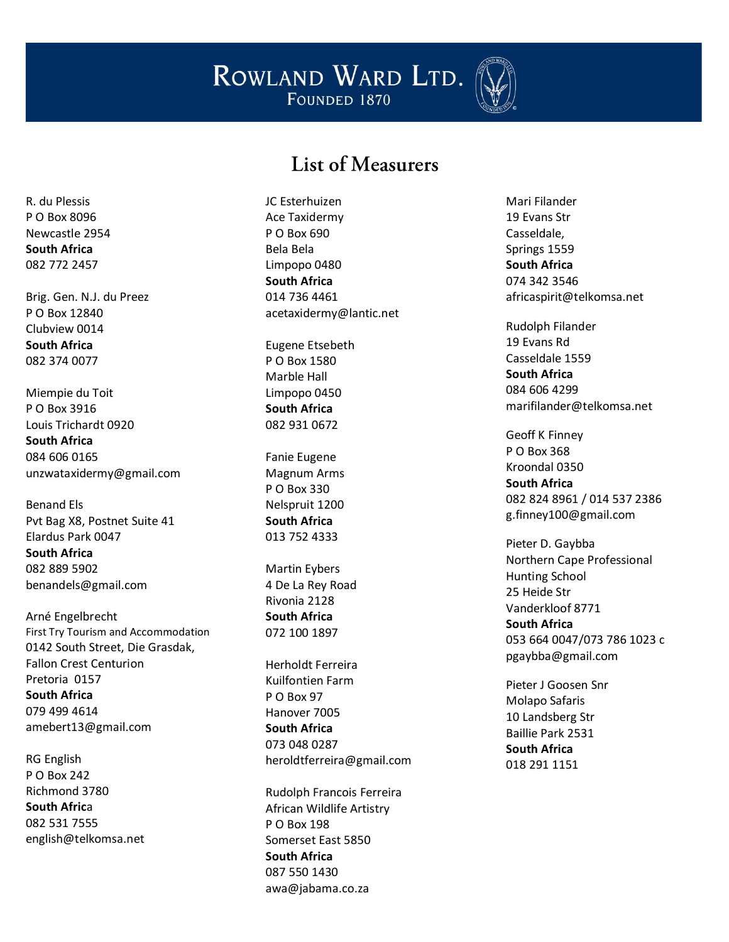

#### List of Measurers

R. du Plessis P O Box 8096 Newcastle 2954 **South Africa** 082 772 2457

Brig. Gen. N.J. du Preez P O Box 12840 Clubview 0014 **South Africa** 082 374 0077

Miempie du Toit P O Box 3916 Louis Trichardt 0920 **South Africa** 084 606 0165 unzwataxidermy@gmail.com

Benand Els Pvt Bag X8, Postnet Suite 41 Elardus Park 0047 **South Africa** 082 889 5902 benandels@gmail.com

Arné Engelbrecht First Try Tourism and Accom modation 0142 South Street, Die Grasdak, Fallon Crest Centurion Pretoria 0157 **South Africa** 079 499 4614 amebert13@gmail.com

RG English P O Box 242 Richmond 3780 **South Afric** a 082 531 7555 english@telkomsa.net JC Esterhuizen Ace Taxidermy P O Box 690 Bela Bela Limpopo 0480 **South Africa** 014 736 4461 acetaxidermy@lantic.net

Eugene Etsebeth P O Box 1580 Marble Hall Limpopo 0450 **South Africa** 082 931 0672

Fanie Eugene Magnum Arms P O Box 330 Nelspruit 1200 **South Africa** 013 752 4333

Martin Eybers 4 De La Rey Road Rivonia 2128 **South Africa** 072 100 1897

Herholdt Ferreira Kuilfontien Farm P O Box 97 Hanover 7005 **South Africa** 073 048 0287 heroldtferreira@gmail.com

Rudolph Francois Ferreira African Wildlife Artistry P O Box 198 Somerset East 5850 **South Africa** 087 550 1430 awa@jabama.co.za

Mari Filander 19 Evans Str Casseldale, Springs 1559 **South Africa** 074 342 3546 africaspirit@telkomsa.net

Rudolph Filander 19 Evans Rd Casseldale 1559 **South Africa** 084 606 4299 marifilander@telkomsa.net

Geoff K Finney P O Box 368 Kroondal 0350 **South Africa** 082 824 8961 / 014 537 2386 [g.finney100@gmail.com](mailto:g.finney100@gmail.com)

Pieter D. Gaybba Northern Cape Professional Hunting School 25 Heide Str Vanderkloof 8771 **South Africa** 053 664 0047 /073 786 1023 c pgaybba@gmail.com

Pieter J Goosen Snr Molapo Safaris 10 Landsberg Str Baillie Park 2531 **South Africa** 018 291 1151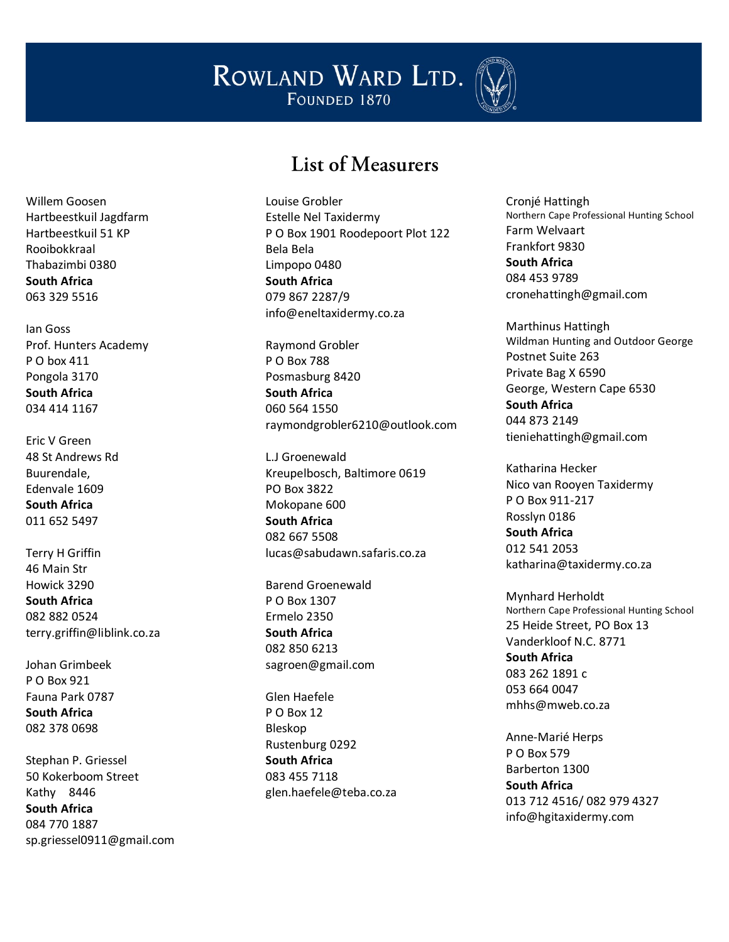

#### List of Measurers

Willem Goosen Hartbeestkuil Jagdfarm Hartbeestkuil 51 KP Rooibokkraal Thabazimbi 0380 **South Africa** 063 329 5516

Ian Goss Prof. Hunters Academy P O box 411 Pongola 3170 **South Africa** 034 414 1167

Eric V Green 48 St Andrews Rd Buurendale, Edenvale 1609 **South Africa** 011 652 5497

Terry H Griffin 46 Main Str Howick 3290 **South Africa** 082 882 0524 terry.griffin@liblink.co.za

Johan Grimbeek P O Box 921 Fauna Park 0787 **South Africa** 082 378 0698

Stephan P. Griessel 50 Kokerboom Street Kathy 8446 **South Africa** 084 770 1887 sp.griessel0911@gmail.com Louise Grobler Estelle Nel Taxidermy P O Box 1901 Roodepoort Plot 122 Bela Bela Limpopo 0480 **South Africa** 079 867 2287/9 info@eneltaxidermy.co.za

Raymond Grobler P O Box 788 Posmasburg 8420 **South Africa** 060 564 1550 raymondgrobler6210@outlook.com

L.J Groenewald Kreupelbosch, Baltimore 0619 PO Box 3822 Mokopane 600 **South Africa** 082 667 5508 lucas@sabudawn.safaris.co.za

Barend Groenewald P O Box 1307 Ermelo 2350 **South Africa** 082 850 6213 sagroen@gmail.com

Glen Haefele P O Box 12 Bleskop Rustenburg 0292 **South Africa** 083 455 7118 glen.haefele@teba.co.za Cronjé Hattingh Northern Cape Professional Hunting School Farm Welvaart Frankfort 9830 **South Africa** 084 453 9789 cronehattingh@gmail.com

Marthinus Hattingh Wildman Hunting and Outdoor George Postnet Suite 263 Private Bag X 6590 George, Western Cape 6530 **South Africa** 044 873 2149 tieniehattingh@gmail.com

Katharina Hecker Nico van Rooyen Taxidermy P O Box 911 -217 Rosslyn 0186 **South Africa** 012 541 2053 katharina@taxidermy.co.za

Mynhard Herholdt Northern Cape Professional Hunting School 25 Heide Street, PO Box 13 Vanderkloof N.C. 8771 **South Africa** 083 262 1891 c 053 664 0047 mhhs@mweb.co.za

Anne -Marié Herps P O Box 579 Barberton 1300 **South Africa** 013 712 4516/ 082 979 4327 info@hgitaxidermy.com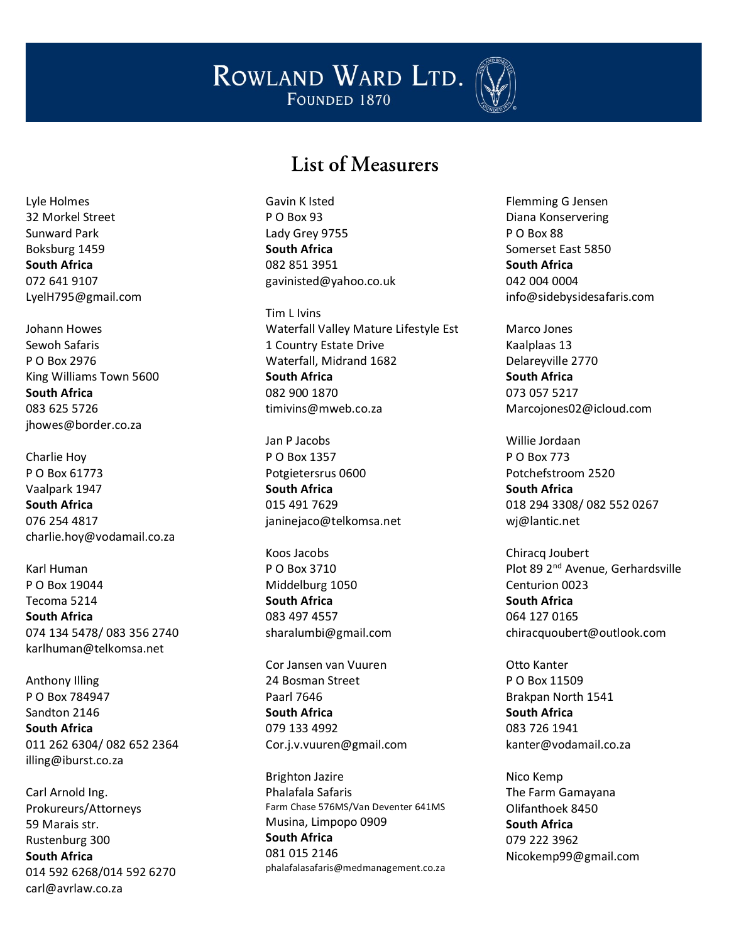

#### List of Measurers

Gavin K Isted P O Box 93 Lady Grey 9755 **South Africa** 082 851 3951 gavinisted@yahoo.co.uk

Tim L Ivins Waterfall Valley Mature Lifestyle Est 1 Country Estate Drive Waterfall, Midrand 1682 **South Africa** 082 900 1870 timivins@mweb.co.za

Jan P Jacobs P O Box 1357 Potgietersrus 0600 **South Africa** 015 491 7629 janinejaco@telkomsa.net

Koos Jacobs P O Box 3710 Middelburg 1050 **South Africa** 083 497 4557 sharalumbi@gmail.com

Cor Jansen van Vuuren 24 Bosman Street Paarl 7646 **South Africa** 079 133 4992 [Cor.j.v.vuuren@gmail.com](mailto:Cor.j.v.vuuren@gmail.com)

Brighton Jazire Phalafala Safaris Farm Chase 576MS/Van Deventer 641MS Musina, Limpopo 0909 **South Africa** 081 015 2146 [phalafalasafaris@medmanagement.co.za](mailto:phalafalasafaris@medmanagement.co.za) Flemming G Jensen Diana Konservering P O Box 88 Somerset East 5850 **South Africa** 042 004 0004 info@sidebysidesafaris.com

Marco Jones Kaalplaas 13 Delareyville 2770 **South Africa** 073 057 5217 Marcojones02@icloud.com

Willie Jordaan P O Box 773 Potchefstroom 2520 **South Africa** 018 294 3308/ 082 552 0267 wj@lantic.net

Chiracq Joubert Plot 89 2nd Avenue, Gerhardsville Centurion 0023 **South Africa** 064 127 0165 chiracquoubert@outlook.com

Otto Kanter P O Box 11509 Brakpan North 1541 **South Africa** 083 726 1941 kanter@vodamail.co.za

Nico Kemp The Farm Gamayana Olifanthoek 8450 **South Africa** 079 222 3962 Nicokemp99@gmail.com

Lyle Holmes 32 Morkel Street Sunward Park Boksburg 1459 **South Africa** 072 641 9107 LyelH795@gmail.com

Johann Howes Sewoh Safaris P O Box 2976 King Williams Town 5600 **South Africa** 083 625 5726 jhowes@border.co.za

Charlie Hoy P O Box 61773 Vaalpark 1947 **South Africa** 076 254 4817 charlie.hoy@vodamail.co.za

Karl Human P O Box 19044 Tecoma 5214 **South Africa** 074 134 5478/ 083 356 2740 karlhuman@telkomsa.net

Anthony Illing P O Box 784947 Sandton 2146 **South Africa** 011 262 6304/ 082 652 2364 illing@iburst.co.za

Carl Arnold Ing. Prokureurs/Attorneys 59 Marais str. Rustenburg 300 **South Africa** 014 592 6268/014 592 6270 carl@avrlaw.co.za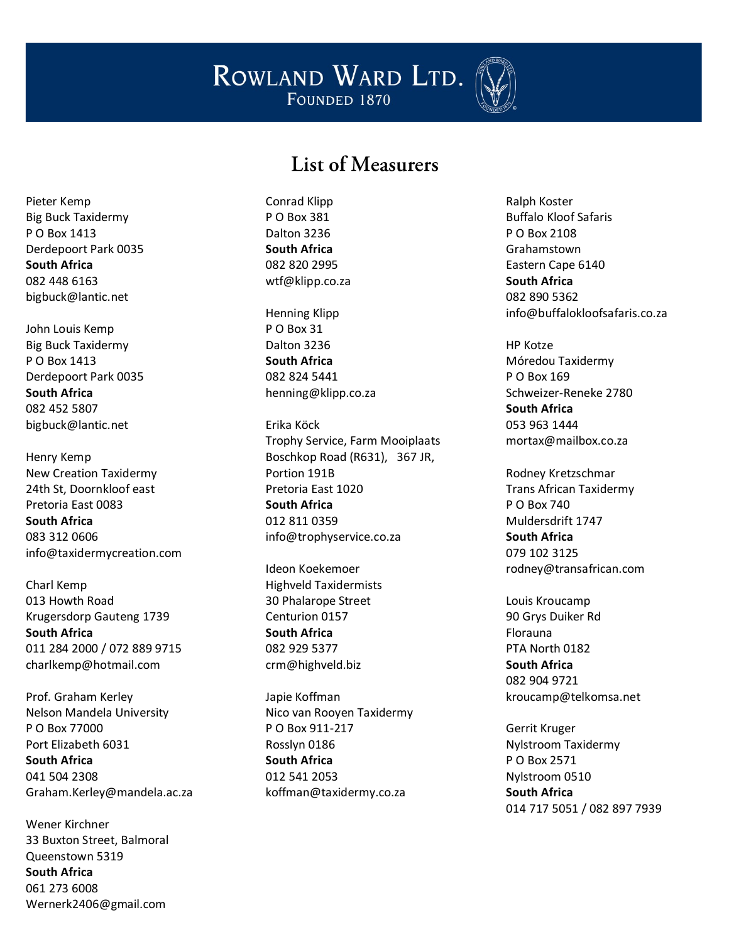

## List of Measurers

Pieter Kemp Big Buck Taxidermy P O Box 1413 Derdepoort Park 0035 **South Africa** 082 448 6163 bigbuck@lantic.net

John Louis Kemp Big Buck Taxidermy P O Box 1413 Derdepoort Park 0035 **South Africa** 082 452 5807 bigbuck@lantic.net

Henry Kemp New Creation Taxidermy 24th St, Doornkloof east Pretoria East 0083 **South Africa** 083 312 0606 info@taxidermycreation.com

Charl Kemp 013 Howth Road Krugersdorp Gauteng 1739 **South Africa** 011 284 2000 / 072 889 9715 charlkemp@hotmail.com

Prof. Graham Kerley Nelson Mandela University P O Box 77000 Port Elizabeth 6031 **South Africa** 041 504 2308 Graham.Kerley@mandela.ac.za

Wener Kirchner 33 Buxton Street, Balmoral Queenstown 5319 **South Africa** 061 273 6008 Wernerk2406@gmail.com

Conrad Klipp P O Box 381 Dalton 3236 **South Africa** 082 820 2995 wtf@klipp.co.za

Henning Klipp P O Box 31 Dalton 3236 **South Africa** 082 824 5441 henning@klipp.co.za

Erika Köck Trophy Service, Farm Mooiplaats Boschkop Road (R631), 367 JR, Portion 191B Pretoria East 1020 **South Africa** 012 811 0359 info@trophyservice.co.za

Ideon Koekemoer Highveld Taxidermists 30 Phalarope Street Centurion 0157 **South Africa** 082 929 5377 crm@highveld.biz

Japie Koffman Nico van Rooyen Taxidermy P O Box 911-217 Rosslyn 0186 **South Africa** 012 541 2053 koffman@taxidermy.co.za

Ralph Koster Buffalo Kloof Safaris P O Box 2108 Grahamstown Eastern Cape 6140 **South Africa** 082 890 5362 info@buffalokloofsafaris.co.za

HP Kotze Móredou Taxidermy P O Box 169 Schweizer-Reneke 2780 **South Africa** 053 963 1444 mortax@mailbox.co.za

Rodney Kretzschmar Trans African Taxidermy P O Box 740 Muldersdrift 1747 **South Africa** 079 102 3125 rodney@transafrican.com

Louis Kroucamp 90 Grys Duiker Rd Florauna PTA North 0182 **South Africa** 082 904 9721 kroucamp@telkomsa.net

Gerrit Kruger Nylstroom Taxidermy P O Box 2571 Nylstroom 0510 **South Africa** 014 717 5051 / 082 897 7939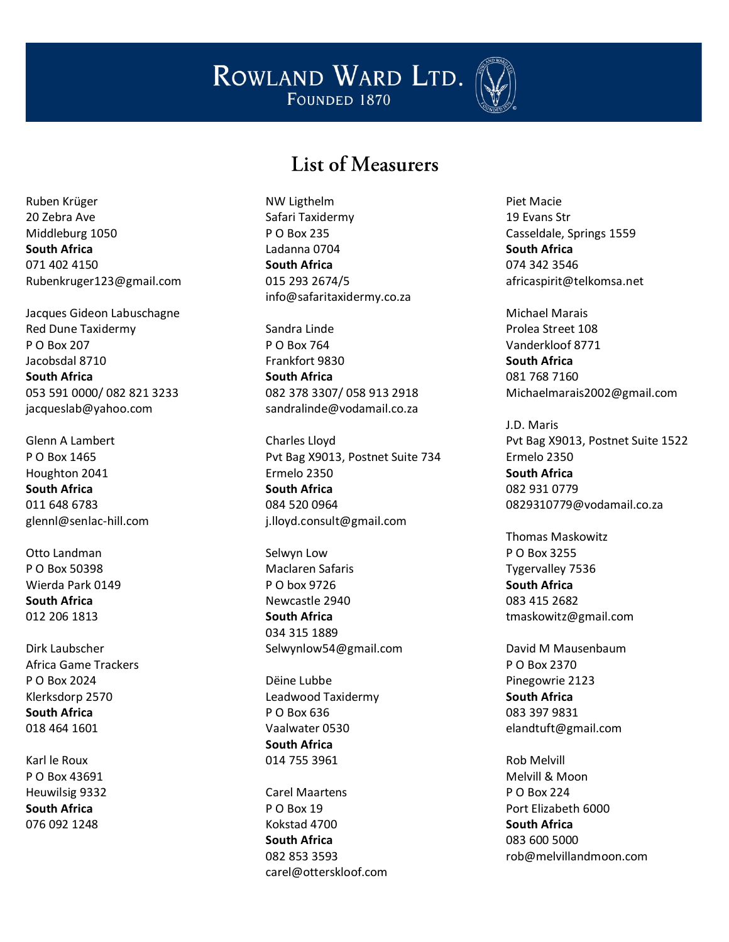

## List of Measurers

Ruben Krüger 20 Zebra Ave Middleburg 1050 **South Africa** 071 402 4150 Rubenkruger123@gmail.com

Jacques Gideon Labuschagne Red Dune Taxidermy P O Box 207 Jacobsdal 8710 **South Africa** 053 591 0000/ 082 821 3233 jacqueslab@yahoo.com

Glenn A Lambert P O Box 1465 Houghton 2041 **South Africa** 011 648 6783 glennl@senlac-hill.com

Otto Landman P O Box 50398 Wierda Park 0149 **South Africa** 012 206 1813

Dirk Laubscher Africa Game Trackers P O Box 2024 Klerksdorp 2570 **South Africa** 018 464 1601

Karl le Roux P O Box 43691 Heuwilsig 9332 **South Africa** 076 092 1248

NW Ligthelm Safari Taxidermy P O Box 235 Ladanna 0704 **South Africa** 015 293 2674/5 info@safaritaxidermy.co.za

Sandra Linde P O Box 764 Frankfort 9830 **South Africa** 082 378 3307/ 058 913 2918 sandralinde@vodamail.co.za

Charles Lloyd Pvt Bag X9013, Postnet Suite 734 Ermelo 2350 **South Africa** 084 520 0964 j.lloyd.consult@gmail.com

Selwyn Low Maclaren Safaris P O box 9726 Newcastle 2940 **South Africa** 034 315 1889 Selwynlow54@gmail.com

Dëine Lubbe Leadwood Taxidermy P O Box 636 Vaalwater 0530 **South Africa** 014 755 3961

Carel Maartens P O Box 19 Kokstad 4700 **South Africa** 082 853 3593 carel@otterskloof.com Piet Macie 19 Evans Str Casseldale, Springs 1559 **South Africa** 074 342 3546 africaspirit@telkomsa.net

Michael Marais Prolea Street 108 Vanderkloof 8771 **South Africa** 081 768 7160 Michaelmarais2002@gmail.com

J.D. Maris Pvt Bag X9013, Postnet Suite 1522 Ermelo 2350 **South Africa** 082 931 0779 0829310779@vodamail.co.za

Thomas Maskowitz P O Box 3255 Tygervalley 7536 **South Africa** 083 415 2682 tmaskowitz@gmail.com

David M Mausenbaum P O Box 2370 Pinegowrie 2123 **South Africa** 083 397 9831 elandtuft@gmail.com

Rob Melvill Melvill & Moon P O Box 224 Port Elizabeth 6000 **South Africa** 083 600 5000 rob@melvillandmoon.com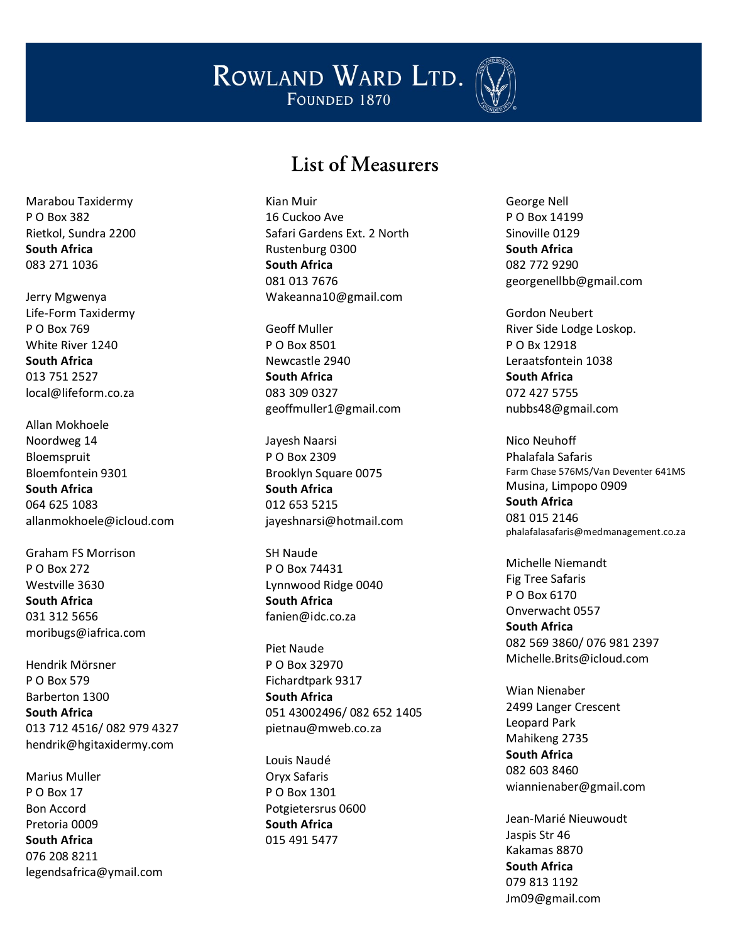

#### List of Measurers

Kian Muir 16 Cuckoo Ave Safari Gardens Ext. 2 North Rustenburg 0300 **South Africa** 081 013 7676 Wakeanna10@gmail.com

Geoff Muller P O Box 8501 Newcastle 2940 **South Africa** 083 309 0327 geoffmuller1@gmail.com

Jayesh Naarsi P O Box 2309 Brooklyn Square 0075 **South Africa** 012 653 5215 jayeshnarsi@hotmail.com

SH Naude P O Box 74431 Lynnwood Ridge 0040 **South Africa** fanien@idc.co.za

Piet Naude P O Box 32970 Fichardtpark 9317 **South Africa** 051 43002496/ 082 652 1405 pietnau@mweb.co.za

Louis Naudé Oryx Safaris P O Box 1301 Potgietersrus 0600 **South Africa** 015 491 5477

George Nell P O Box 14199 Sinoville 0129 **South Africa** 082 772 9290 georgenellbb@gmail.com

Gordon Neubert River Side Lodge Loskop. P O Bx 12918 Leraatsfontein 1038 **South Africa** 072 427 5755 nubbs48@gmail.com

Nico Neuhoff Phalafala Safaris Farm Chase 576MS/Van Deventer 641MS Musina, Limpopo 0909 **South Africa** 081 015 2146 [phalafalasafaris@medmanagement.co.za](mailto:phalafalasafaris@medmanagement.co.za)

Michelle Niemandt Fig Tree Safaris P O Box 6170 Onverwacht 0557 **South Africa** 082 569 3860/ 076 981 2397 Michelle.Brits@icloud.com

Wian Nienaber 2499 Langer Crescent Leopard Park Mahikeng 2735 **South Africa** 082 603 8460 wiannienaber@gmail.com

Jean -Marié Nieuw oudt Jaspis Str 46 Kakamas 8870 **South Africa** 079 813 1192 Jm09@gmail.com

Marabou Taxidermy P O Box 382 Rietkol, Sundra 2200 **South Africa** 083 271 1036

Jerry Mgwenya Life -Form Taxidermy P O Box 769 White River 1240 **South Africa** 013 751 2527 local@lifeform.co.za

Allan Mokhoele Noordweg 14 Bloemspruit Bloemfontein 9301 **South Africa** 064 625 1083 allanmokhoele@icloud.com

Graham FS Morrison P O Box 272 Westville 3630 **South Africa** 031 312 5656 moribugs@iafrica.com

Hendrik Mörsner P O Box 579 Barberton 1300 **South Africa** 013 712 4516/ 082 979 4327 hendrik@hgitaxidermy.com

Marius Muller P O Box 17 Bon Accord Pretoria 0009 **South Africa** 076 208 8211 legendsafrica@ymail.com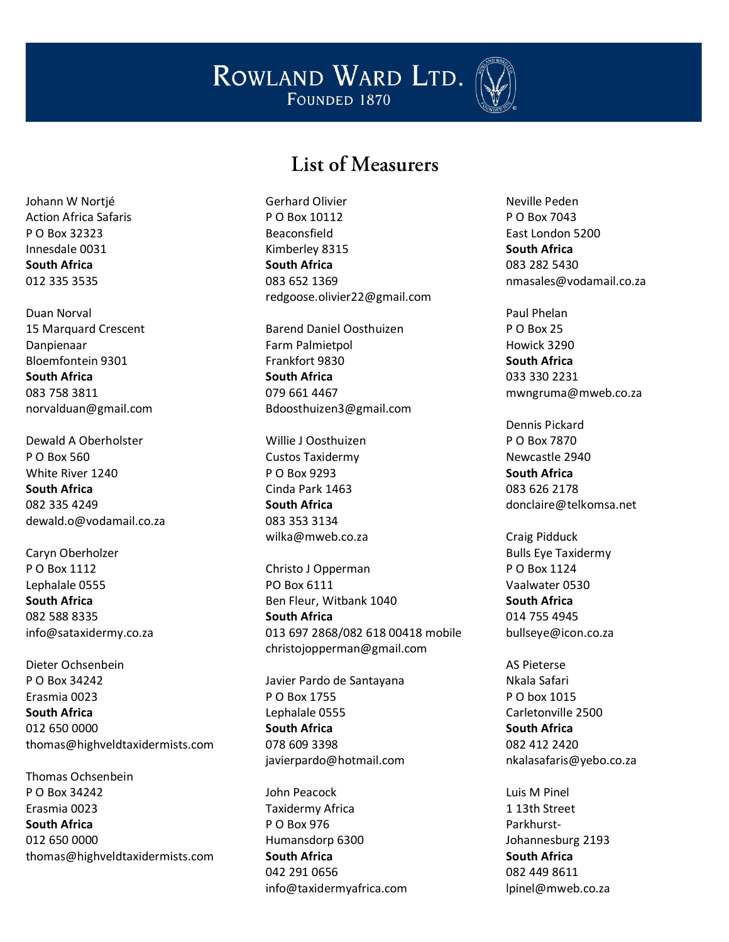

#### List of Measurers

Gerhard Olivier P O Box 10112 Beaconsfield Kimberley 8315 **South Africa** 083 652 1369 redgoose.olivier22@gmail.com

Barend Daniel Oosthuizen Farm Palmietpol Frankfort 9830 **South Africa** 079 661 4467 Bdoosthuizen3@gmail.com

Willie J Oosthuizen Custos Taxidermy P O Box 9293 Cinda Park 1463 **South Africa** 083 353 3134 wilka@mweb.co.za

Christo J Opperman PO Box 6111 Ben Fleur, Witbank 1040 **South Africa** 013 697 2868/082 618 00418 mobile christojopperman@gmail.com

Javier Pardo de Santayana P O Box 1755 Lephalale 0555 **South Africa** 078 609 3398 javierpardo@hotmail.com

John Peacock Taxidermy Africa P O Box 976 Humansdorp 6300 **South Africa** 042 291 0656 info@taxidermyafrica.com Neville Peden P O Box 7043 East London 5200 **South Africa** 083 282 5430 nmasales@vodamail.co.za

Paul Phelan P O Box 25 Howick 3290 **South Africa** 033 330 2231 mwngruma@mweb.co.za

Dennis Pickard P O Box 7870 Newcastle 2940 **South Africa** 083 626 2178 donclaire@telkomsa.net

Craig Pidduck Bulls Eye Taxidermy P O Box 1124 Vaalwater 0530 **South Africa** 014 755 4945 bullseye@icon.co.za

AS Pieterse Nkala Safari P O box 1015 Carletonville 2500 **South Africa** 082 412 2420 nkalasafaris@yebo.co.za

Luis M Pinel 1 13th Street Parkhurst-Johannesburg 2193 **South Africa** 082 449 8611 lpinel@mweb.co.za

Johann W Nortjé Action Africa Safaris P O Box 32323 Innesdale 0031 **South Africa** 012 335 3535

Duan Norval 15 Marquard Crescent Danpienaar Bloemfontein 9301 **South Africa** 083 758 3811 norvalduan@gmail.com

Dewald A Oberholster P O Box 560 White River 1240 **South Africa** 082 335 4249 dewald.o@vodamail.co.za

Caryn Oberholzer P O Box 1112 Lephalale 0555 **South Africa** 082 588 8335 info@sataxidermy.co.za

Dieter Ochsenbein P O Box 34242 Erasmia 0023 **South Africa** 012 650 0000 thomas@highveldtaxidermists.com

Thomas Ochsenbein P O Box 34242 Erasmia 0023 **South Africa** 012 650 0000 thomas@highveldtaxidermists.com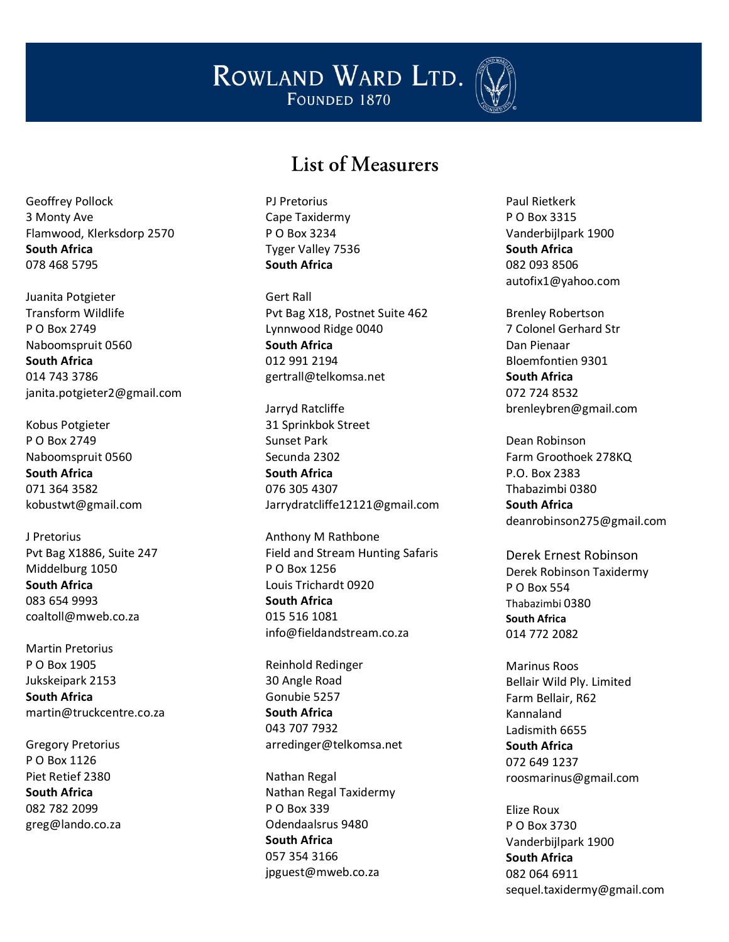

#### List of Measurers

Geoffrey Pollock 3 Monty Ave Flamwood, Klerksdorp 2570 **South Africa** 078 468 5795

Juanita Potgieter Transform Wildlife P O Box 2749 Naboomspruit 0560 **South Africa** 014 743 3786 janita.potgieter2@gmail.com

Kobus Potgieter P O Box 2749 Naboomspruit 0560 **South Africa** 071 364 3582 kobustwt@gmail.com

J Pretorius Pvt Bag X1886, Suite 247 Middelburg 1050 **South Africa** 083 654 9993 coaltoll@mweb.co.za

Martin Pretorius P O Box 1905 Jukskeipark 2153 **South Africa** martin@truckcentre.co.za

Gregory Pretorius P O Box 1126 Piet Retief 2380 **South Africa** 082 782 2099 greg@lando.co.za PJ Pretorius Cape Taxidermy P O Box 3234 Tyger Valley 7536 **South Africa**

Gert Rall Pvt Bag X18, Postnet Suite 462 Lynnwood Ridge 0040 **South Africa** 012 991 2194 gertrall@telkomsa.net

Jarryd Ratcliffe 31 Sprinkbok Street Sunset Park Secunda 2302 **South Africa** 076 305 4307 Jarrydratcliffe12121@gmail.com

Anthony M Rathbone Field and Stream Hunting Safaris P O Box 1256 Louis Trichardt 0920 **South Africa** 015 516 1081 info@fieldandstream.co.za

Reinhold Redinger 30 Angle Road Gonubie 5257 **South Africa** 043 707 7932 arredinger@telkomsa.net

Nathan Regal Nathan Regal Taxidermy P O Box 339 Odendaalsrus 9480 **South Africa** 057 354 3166 jpguest@mweb.co.za

Paul Rietkerk P O Box 3315 Vanderbijlpark 1900 **South Africa** 082 093 8506 autofix1@yahoo.com

Brenley Robertson 7 Colonel Gerhard Str Dan Pienaar Bloemfontien 9301 **South Africa** 072 724 8532 brenleybren@gmail.com

Dean Robinson Farm Groothoek 278KQ P.O. Box 2383 Thabazimbi 0380 **South Africa** deanrobinson275@gmail.com

Derek Ernest Robinson Derek Robinson Taxidermy P O Box 554 Thabazimbi 0380 **South Africa** 014 772 2082

Marinus Roos Bellair Wild Ply. Limited Farm Bellair, R62 Kannaland Ladismith 6655 **South Africa** 072 649 1237 roosmarinus@gmail.com

Elize Roux P O Box 3730 Vanderbijlpark 1900 **South Africa** 082 064 6911 sequel.taxidermy@gmail.com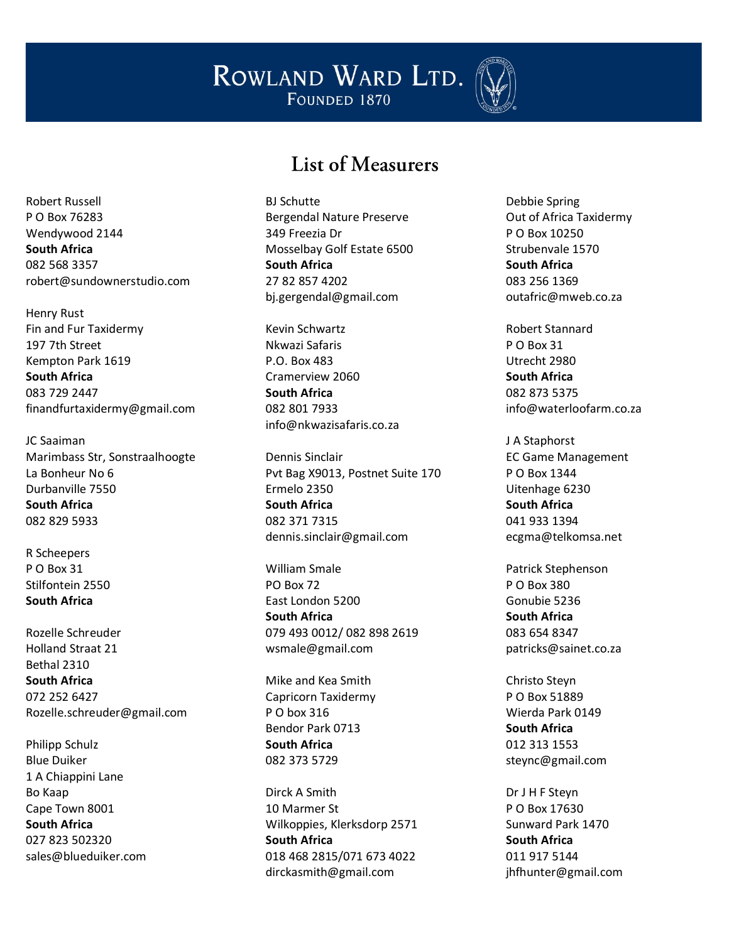

#### List of Measurers

Robert Russell P O Box 76283 Wendywood 2144 **South Africa** 082 568 3357 robert@sundownerstudio.com

Henry Rust Fin and Fur Taxidermy 197 7th Street Kempton Park 1619 **South Africa** 083 729 2447 finandfurtaxidermy@gmail.com

JC Saaiman Marimbass Str, Sonstraalhoogte La Bonheur No 6 Durbanville 7550 **South Africa** 082 829 5933

R Scheepers P O Box 31 Stilfontein 2550 **South Africa**

Rozelle Schreuder Holland Straat 21 Bethal 2310 **South Africa** 072 252 6427 Rozelle.schreuder@gmail.com

Philipp Schulz Blue Duiker 1 A Chiappini Lane Bo Kaap Cape Town 8001 **South Africa** 027 823 502320 sales@blueduiker.com BJ Schutte Bergendal Nature Preserve 349 Freezia Dr Mosselbay Golf Estate 6500 **South Africa** 27 82 857 4202 bj.gergendal@gmail.com

Kevin Schwartz Nkwazi Safaris P.O. Box 483 Cramerview 2060 **South Africa** 082 801 7933 info@nkwazisafaris.co.za

Dennis Sinclair Pvt Bag X9013, Postnet Suite 170 Ermelo 2350 **South Africa** 082 371 7315 dennis.sinclair@gmail.com

William Smale PO Box 72 East London 5200 **South Africa** 079 493 0012/ 082 898 2619 wsmale@gmail.com

Mike and Kea Smith Capricorn Taxidermy P O box 316 Bendor Park 0713 **South Africa** 082 373 5729

Dirck A Smith 10 Marmer St Wilkoppies, Klerksdorp 2571 **South Africa** 018 468 2815/071 673 4022 dirckasmith@gmail.com

Debbie Spring Out of Africa Taxidermy P O Box 10250 Strubenvale 1570 **South Africa** 083 256 1369 outafric@mweb.co.za

Robert Stannard P O Box 31 Utrecht 2980 **South Africa** 082 873 5375 info@waterloofarm.co.za

J A Staphorst EC Game Management P O Box 1344 Uitenhage 6230 **South Africa** 041 933 1394 ecgma@telkomsa.net

Patrick Stephenson P O Box 380 Gonubie 5236 **South Africa** 083 654 8347 patricks@sainet.co.za

Christo Steyn P O Box 51889 Wierda Park 0149 **South Africa** 012 313 1553 steync@gmail.com

Dr J H F Steyn P O Box 17630 Sunward Park 1470 **South Africa** 011 917 5144 jhfhunter@gmail.com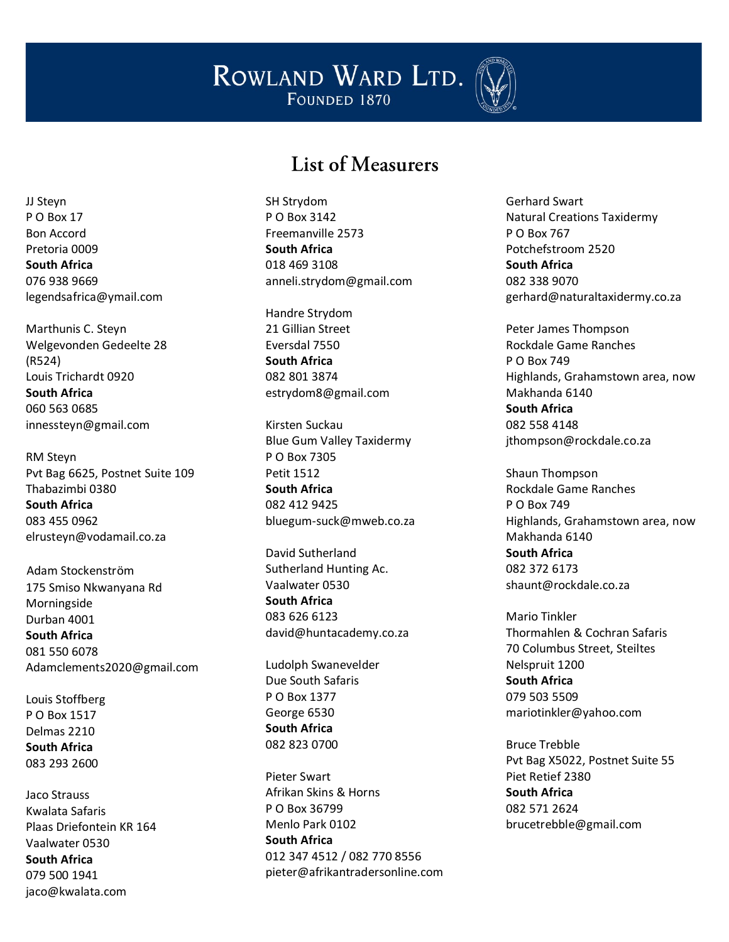

## List of Measurers

SH Strydom P O Box 3142 Freemanville 2573 **South Africa** 018 469 3108 anneli.strydom@gmail.com

Handre Strydom 21 Gillian Street Eversdal 7550 **South Africa** 082 801 3874 estrydom8@gmail.com

Kirsten Suckau Blue Gum Valley Taxidermy P O Box 7305 Petit 1512 **South Africa** 082 412 9425 bluegum-suck@mweb.co.za

David Sutherland Sutherland Hunting Ac. Vaalwater 0530 **South Africa** 083 626 6123 david@huntacademy.co.za

Ludolph Swanevelder Due South Safaris P O Box 1377 George 6530 **South Africa** 082 823 0700

Pieter Swart Afrikan Skins & Horns P O Box 36799 Menlo Park 0102 **South Africa** 012 347 4512 / 082 770 8556 pieter@afrikantradersonline.com Gerhard Swart Natural Creations Taxidermy P O Box 767 Potchefstroom 2520 **South Africa** 082 338 9070 gerhard@naturaltaxidermy.co.za

Peter James Thompson Rockdale Game Ranches P O Box 749 Highlands, Grahamstown area, now Makhanda 6140 **South Africa** 082 558 4148 jthompson@rockdale.co.za

Shaun Thompson Rockdale Game Ranches P O Box 749 Highlands, Grahamstown area, now Makhanda 6140 **South Africa** 082 372 6173 shaunt@rockdale.co.za

Mario Tinkler Thormahlen & Cochran Safaris 70 Columbus Street, Steiltes Nelspruit 1200 **South Africa** 079 503 5509 mariotinkler@yahoo.com

Bruce Trebble Pvt Bag X5022, Postnet Suite 55 Piet Retief 2380 **South Africa** 082 571 2624 brucetrebble@gmail.com

JJ Steyn P O Box 17 Bon Accord Pretoria 0009 **South Africa** 076 938 9669 legendsafrica@ymail.com

Marthunis C. Steyn Welgevonden Gedeelte 28 (R524) Louis Trichardt 0920 **South Africa** 060 563 0685 innessteyn@gmail.com

RM Steyn Pvt Bag 6625, Postnet Suite 109 Thabazimbi 0380 **South Africa** 083 455 0962 elrusteyn@vodamail.co.za

Adam Stockenström 175 Smiso Nkwanyana Rd Morningside Durban 4001 **South Africa** 081 550 6078 Adamclements2020@gmail.com

Louis Stoffberg P O Box 1517 Delmas 2210 **South Africa** 083 293 2600

Jaco Strauss Kwalata Safaris Plaas Driefontein KR 164 Vaalwater 0530 **South Africa** 079 500 1941 jaco@kwalata.com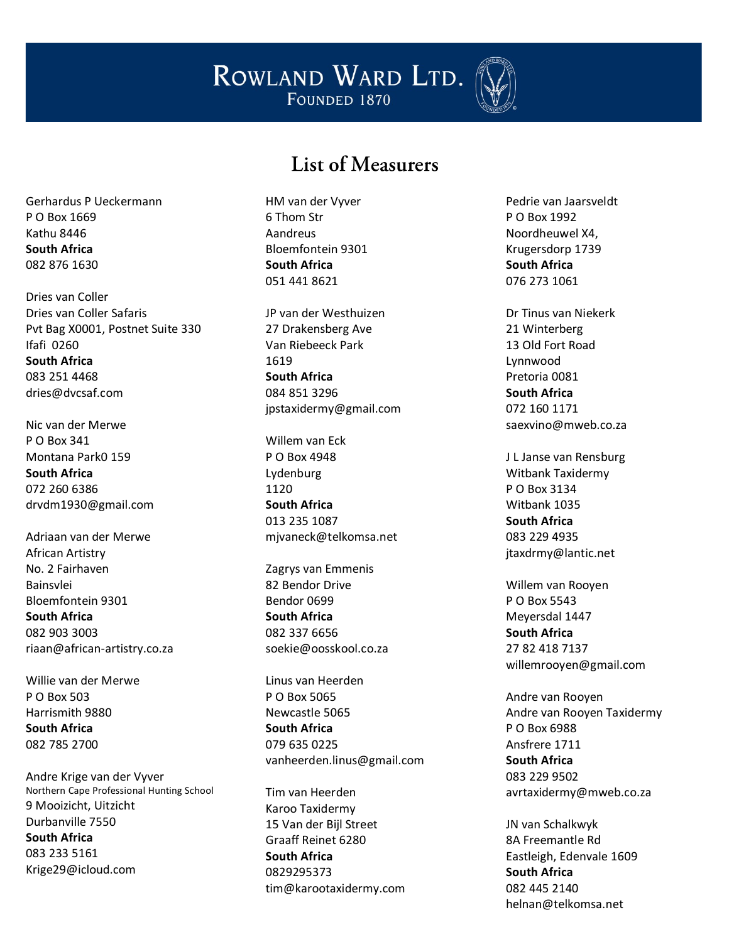

#### List of Measurers

Gerhardus P Ueckermann P O Box 1669 Kathu 8446 **South Africa** 082 876 1630

Dries van Coller Dries van Coller Safaris Pvt Bag X0001, Postnet Suite 330 Ifafi 0260 **South Africa** 083 251 4468 dries@dvcsaf.com

Nic van der Merwe P O Box 341 Montana Park0 159 **South Africa** 072 260 6386 drvdm1930@gmail.com

Adriaan van der Merwe African Artistry No. 2 Fairhaven Bainsvlei Bloemfontein 9301 **South Africa** 082 903 3003 riaan@african-artistry.co.za

Willie van der Merwe P O Box 503 Harrismith 9880 **South Africa** 082 785 2700

Andre Krige van der Vyver Northern Cape Professional Hunting School 9 Mooizicht, Uitzicht Durbanville 7550 **South Africa** 083 233 5161 Krige29@icloud.com

HM van der Vyver 6 Thom Str Aandreus Bloemfontein 9301 **South Africa** 051 441 8621

JP van der Westhuizen 27 Drakensberg Ave Van Riebeeck Park 1619 **South Africa** 084 851 3296 jpstaxidermy@gmail.com

Willem van Eck P O Box 4948 Lydenburg 1120 **South Africa** 013 235 1087 mjvaneck@telkomsa.net

Zagrys van Emmenis 82 Bendor Drive Bendor 0699 **South Africa** 082 337 6656 soekie@oosskool.co.za

Linus van Heerden P O Box 5065 Newcastle 5065 **South Africa** 079 635 0225 vanheerden.linus@gmail.com

Tim van Heerden Karoo Taxidermy 15 Van der Bijl Street Graaff Reinet 6280 **South Africa** 0829295373 tim@karootaxidermy.com Pedrie van Jaarsveldt P O Box 1992 Noordheuwel X4, Krugersdorp 1739 **South Africa** 076 273 1061

Dr Tinus van Niekerk 21 Winterberg 13 Old Fort Road Lynnwood Pretoria 0081 **South Africa** 072 160 1171 [saexvino@mweb.co.za](mailto:saexvino@mweb.co.za)

J L Janse van Rensburg Witbank Taxidermy P O Box 3134 Witbank 1035 **South Africa** 083 229 4935 jtaxdrmy@lantic.net

Willem van Rooyen P O Box 5543 Meyersdal 1447 **South Africa** 27 82 418 7137 willemrooyen@gmail.com

Andre van Rooyen Andre van Rooyen Taxidermy P O Box 6988 Ansfrere 1711 **South Africa** 083 229 9502 avrtaxidermy@mweb.co.za

JN van Schalkwyk 8A Freemantle Rd Eastleigh, Edenvale 1609 **South Africa** 082 445 2140 helnan@telkomsa.net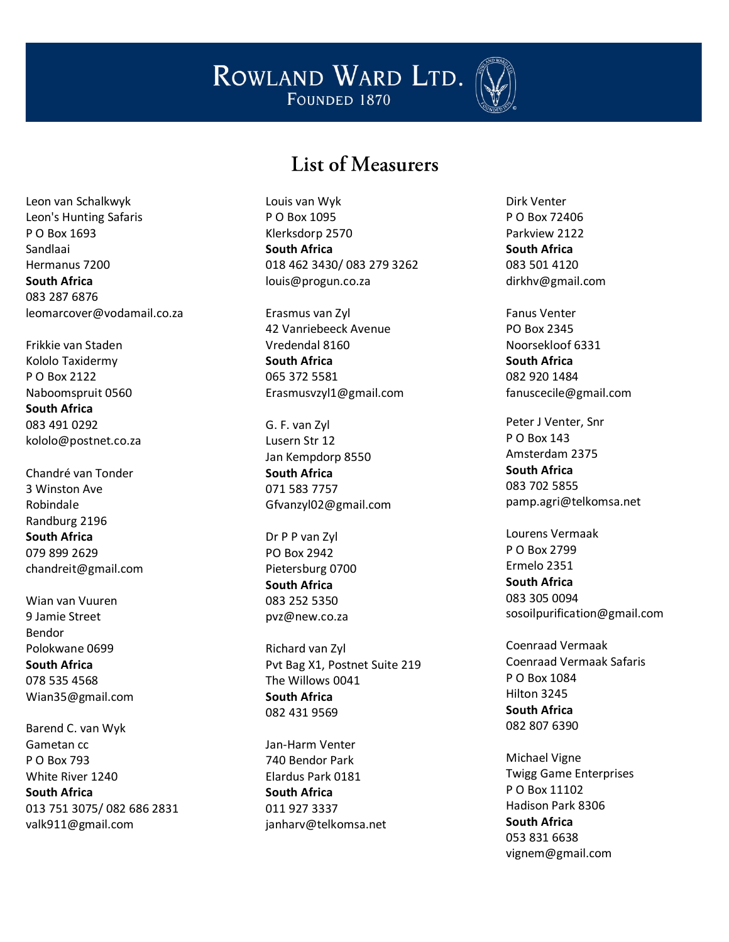

## List of Measurers

Leon van Schalkwyk Leon's Hunting Safaris P O Box 1693 Sandlaai Hermanus 7200 **South Africa** 083 287 6876 leomarcover@vodamail.co.za

Frikkie van Staden Kololo Taxidermy P O Box 2122 Naboomspruit 0560 **South Africa** 083 491 0292 kololo@postnet.co.za

Chandré van Tonder 3 Winston Ave Robindale Randburg 2196 **South Africa** 079 899 2629 chandreit@gmail.com

Wian van Vuuren 9 Jamie Street Bendor Polokwane 0699 **South Africa** 078 535 4568 Wian35@gmail.com

Barend C. van Wyk Gametan cc P O Box 793 White River 1240 **South Africa** 013 751 3075/ 082 686 2831 valk911@gmail.com

Louis van Wyk P O Box 1095 Klerksdorp 2570 **South Africa** 018 462 3430/ 083 279 3262 louis@progun.co.za

Erasmus van Zyl 42 Vanriebeeck Avenue Vredendal 8160 **South Africa** 065 372 5581 Erasmusvzyl1@gmail.com

G. F. van Zyl Lusern Str 12 Jan Kempdorp 8550 **South Africa** 071 583 7757 Gfvanzyl02@gmail.com

Dr P P van Zyl PO Box 2942 Pietersburg 0700 **South Africa** 083 252 5350 pvz@new.co.za

Richard van Zyl Pvt Bag X1, Postnet Suite 219 The Willows 0041 **South Africa** 082 431 9569

Jan -Harm Venter 740 Bendor Park Elardus Park 0181 **South Africa** 011 927 3337 janharv@telkomsa.net Dirk Venter P O Box 72406 Parkview 2122 **South Africa** 083 501 4120 dirkhv@gmail.com

Fanus Venter PO Box 2345 Noorsekloof 6331 **South Africa** 082 920 1484 fanuscecile@gmail.com

Peter J Venter, Snr P O Box 143 Amsterdam 2375 **South Africa** 083 702 5855 pamp.agri@telkomsa.net

Lourens Vermaak P O Box 2799 Ermelo 2351 **South Africa** 083 305 0094 sosoilpurification@gmail.com

Coenraad Vermaak Coenraad Vermaak Safaris P O Box 1084 Hilton 3245 **South Africa** 082 807 6390

Michael Vigne Twigg Game Enterprises P O Box 11102 Hadison Park 8306 **South Africa** 053 831 6638 vignem@gmail.com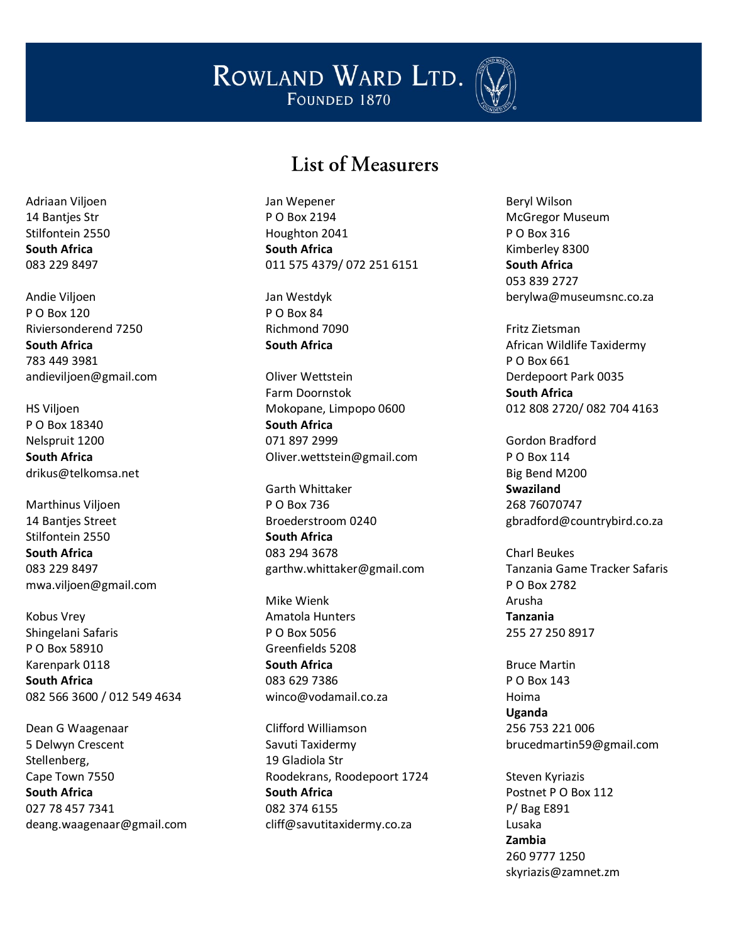

#### List of Measurers

Jan Wepener P O Box 2194 Houghton 2041 **South Africa** 011 575 4379/ 072 251 6151

Jan Westdyk P O Box 84 Richmond 7090 **South Africa**

Oliver Wettstein Farm Doornstok Mokopane, Limpopo 0600 **South Africa** 071 897 2999 Oliver.wettstein@gmail.com

Garth Whittaker P O Box 736 Broederstroom 0240 **South Africa** 083 294 3678 garthw.whittaker@gmail.com

Mike Wienk Amatola Hunters P O Box 5056 Greenfields 5208 **South Africa** 083 629 7386 winco@vodamail.co.za

Clifford Williamson Savuti Taxidermy 19 Gladiola Str Roodekrans, Roodepoort 1724 **South Africa** 082 374 6155 cliff@savutitaxidermy.co.za

Beryl Wilson McGregor Museum P O Box 316 Kimberley 8300 **South Africa** 053 839 2727 berylwa@museumsnc.co.za

Fritz Zietsman African Wildlife Taxidermy P O Box 661 Derdepoort Park 0035 **South Africa** 012 808 2720/ 082 704 4163

Gordon Bradford P O Box 114 Big Bend M200 **Swaziland** 268 76070747 gbradford@countrybird.co.za

Charl Beukes Tanzania Game Tracker Safaris P O Box 2782 Arusha **Tanzania** 255 27 250 8917

Bruce Martin P O Box 143 Hoima **Uganda** 256 753 221 006 brucedmartin59@gmail.com

Steven Kyriazis Postnet P O Box 112 P/ Bag E891 Lusaka **Zambia** 260 9777 1250 skyriazis@zamnet.zm

Adriaan Viljoen 14 Bantjes Str Stilfontein 2550 **South Africa** 083 229 8497

Andie Viljoen P O Box 120 Riviersonderend 7250 **South Africa** 783 449 3981 andieviljoen@gmail.com

HS Viljoen P O Box 18340 Nelspruit 1200 **South Africa** drikus@telkomsa.net

Marthinus Viljoen 14 Bantjes Street Stilfontein 2550 **South Africa** 083 229 8497 mwa.viljoen@gmail.com

Kobus Vrey Shingelani Safaris P O Box 58910 Karenpark 0118 **South Africa** 082 566 3600 / 012 549 4634

Dean G Waagenaar 5 Delwyn Crescent Stellenberg, Cape Town 7550 **South Africa** 027 78 457 7341 deang.waagenaar@gmail.com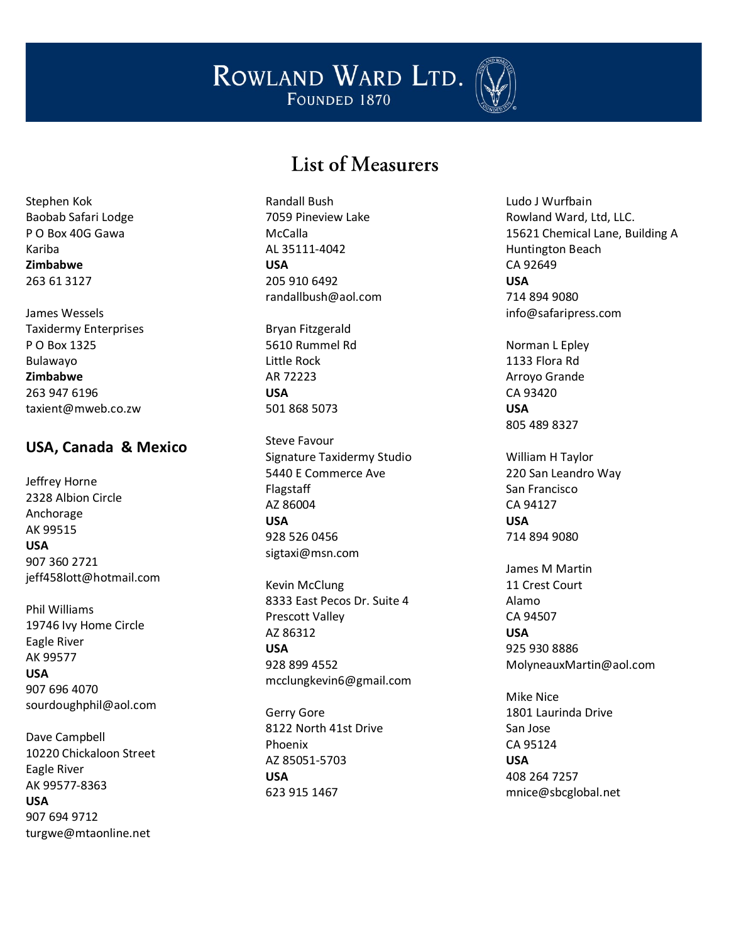

## List of Measurers

Stephen Kok Baobab Safari Lodge P O Box 40G Gawa Kariba **Zimbabwe** 263 61 3127

James Wessels Taxidermy Enterprises P O Box 1325 Bulawayo **Zimbabwe** 263 947 6196 taxient@mweb.co.zw

#### **USA, Canada & Mexico**

Jeffrey Horne 2328 Albion Circle Anchorage AK 99515 **USA** 907 360 2721 jeff458lott@hotmail.com

Phil Williams 19746 Ivy Home Circle Eagle River AK 99577 **USA** 907 696 4070 sourdoughphil@aol.com

Dave Campbell 10220 Chickaloon Street Eagle River AK 99577 -8363 **USA** 907 694 9712 turgwe@mtaonline.net

Randall Bush 7059 Pineview Lake McCalla AL 35111 -4042 **USA** 205 910 6492 randallbush@aol.com

Bryan Fitzgerald 5610 Rummel Rd Little Rock AR 72223 **USA** 501 868 5073

Steve Favour Signature Taxidermy Studio 5440 E Commerce Ave Flagstaff AZ 86004 **USA** 928 526 0456 sigtaxi@msn.com

Kevin McClung 8333 East Pecos Dr. Suite 4 Prescott Valley AZ 86312 **USA** 928 899 4552 mcclungkevin6@gmail.com

Gerry Gore 8122 North 41st Drive Phoenix AZ 85051 -5703 **USA** 623 915 1467

Ludo J Wurfbain Rowland Ward, Ltd, LLC. 15621 Chemical Lane, Building A Huntington Beach CA 92649 **USA** 714 894 9080 info@safaripress.com

Norman L Epley 1133 Flora Rd Arroyo Grande CA 93420 **USA** 805 489 8327

William H Taylor 220 San Leandro Way San Francisco CA 94127 **USA** 714 894 9080

James M Martin 11 Crest Court Alamo CA 94507 **USA** 925 930 8886 MolyneauxMartin@aol.com

Mike Nice 1801 Laurinda Drive San Jose CA 95124 **USA** 408 264 7257 mnice@sbcglobal.net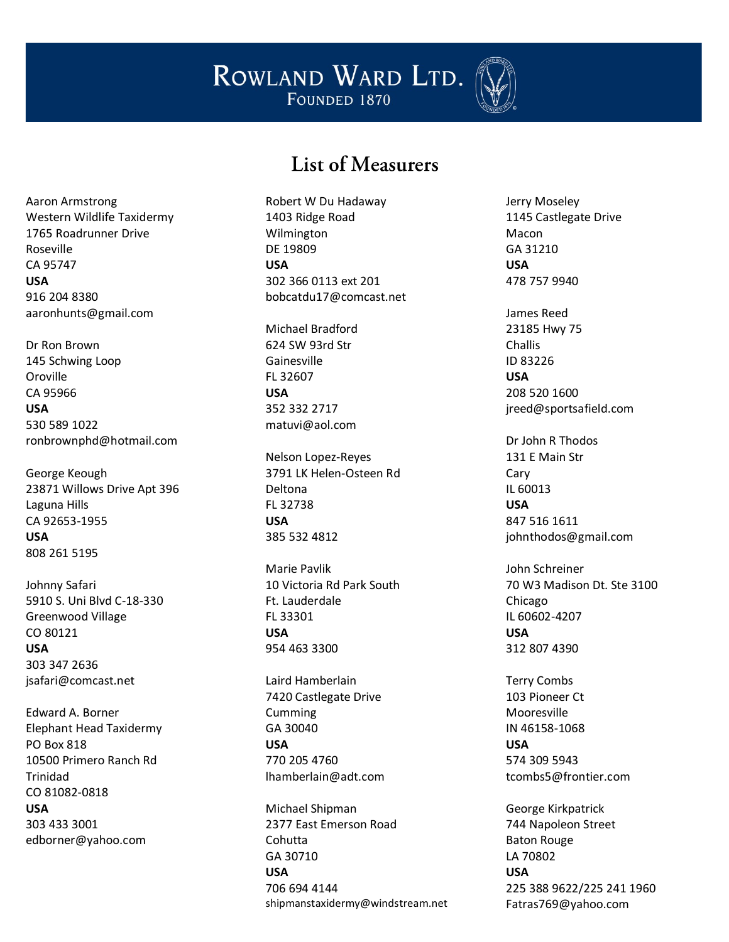

#### List of Measurers

Aaron Armstrong Western Wildlife Taxidermy 1765 Roadrunner Drive Roseville CA 95747 **USA** 916 204 8380 aaronhunts@gmail.com

Dr Ron Brown 145 Schwing Loop Oroville CA 95966 **USA** 530 589 1022 ronbrownphd@hotmail.com

George Keough 23871 Willows Drive Apt 396 Laguna Hills CA 92653-1955 **USA** 808 261 5195

Johnny Safari 5910 S. Uni Blvd C-18-330 Greenwood Village CO 80121 **USA** 303 347 2636 jsafari@comcast.net

Edward A. Borner Elephant Head Taxidermy PO Box 818 10500 Primero Ranch Rd Trinidad CO 81082-0818 **USA** 303 433 3001 edborner@yahoo.com

Robert W Du Hadaway 1403 Ridge Road Wilmington DE 19809 **USA** 302 366 0113 ext 201 bobcatdu17@comcast.net

Michael Bradford 624 SW 93rd Str Gainesville FL 32607 **USA** 352 332 2717 matuvi@aol.com

Nelson Lopez-Reyes 3791 LK Helen-Osteen Rd Deltona FL 32738 **USA** 385 532 4812

Marie Pavlik 10 Victoria Rd Park South Ft. Lauderdale FL 33301 **USA** 954 463 3300

Laird Hamberlain 7420 Castlegate Drive Cumming GA 30040 **USA** 770 205 4760 lhamberlain@adt.com

Michael Shipman 2377 East Emerson Road Cohutta GA 30710 **USA** 706 694 4144 shipmanstaxidermy@windstream.net Jerry Moseley 1145 Castlegate Drive Macon GA 31210 **USA** 478 757 9940

James Reed 23185 Hwy 75 Challis ID 83226 **USA** 208 520 1600 jreed@sportsafield.com

Dr John R Thodos 131 E Main Str Cary IL 60013 **USA** 847 516 1611 johnthodos@gmail.com

John Schreiner 70 W3 Madison Dt. Ste 3100 Chicago IL 60602-4207 **USA** 312 807 4390

Terry Combs 103 Pioneer Ct Mooresville IN 46158-1068 **USA** 574 309 5943 tcombs5@frontier.com

George Kirkpatrick 744 Napoleon Street Baton Rouge LA 70802 **USA** 225 388 9622/225 241 1960 Fatras769@yahoo.com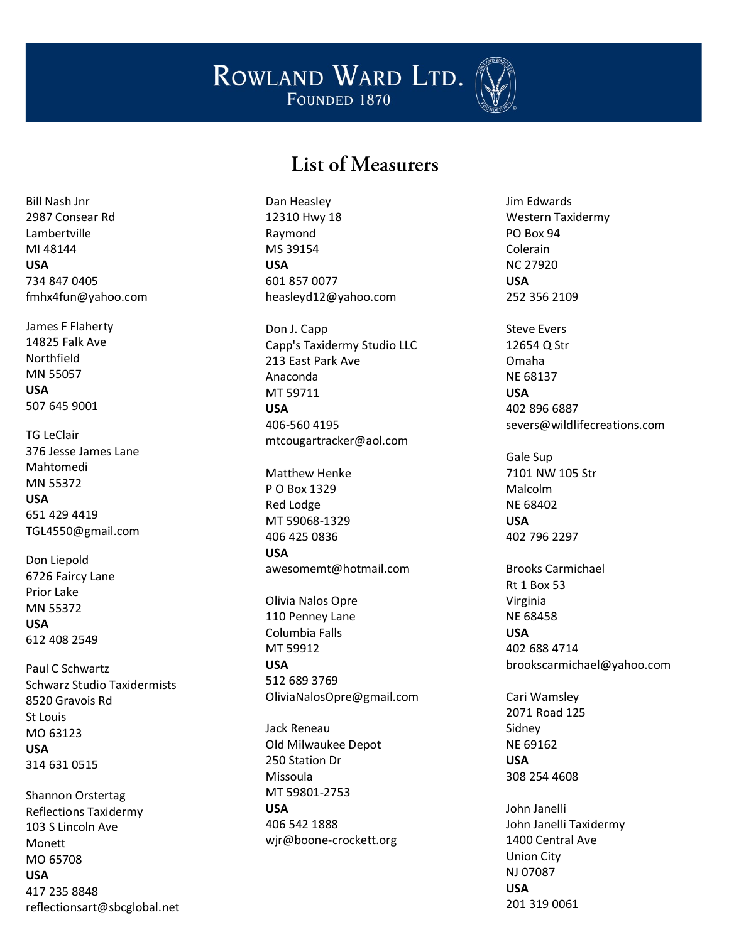

#### List of Measurers

Bill Nash Jnr 2987 Consear Rd Lambertville MI 48144 **USA** 734 847 0405 fmhx4fun@yahoo.com

James F Flaherty 14825 Falk Ave Northfield MN 55057 **USA** 507 645 9001

TG LeClair 376 Jesse James Lane Mahtomedi MN 55372 **USA** 651 429 4419 TGL4550@gmail.com

Don Liepold 6726 Faircy Lane Prior Lake MN 55372 **USA** 612 408 2549

Paul C Schwartz Schwarz Studio Taxidermists 8520 Gravois Rd St Louis MO 63123 **USA** 314 631 0515

Shannon Orstertag Reflections Taxidermy 103 S Lincoln Ave Monett MO 65708 **USA** 417 235 8848 reflectionsart@sbcglobal.net Dan Heasley 12310 Hwy 18 Raymond MS 39154 **USA** 601 857 0077 heasleyd12@yahoo.com

Don J. Capp Capp's Taxidermy Studio LLC 213 East Park Ave Anaconda MT 59711 **USA** 406 -560 4195 mtcougartracker@aol.com

Matthew Henke P O Box 1329 Red Lodge MT 59068 -1329 406 425 0836 **USA**

awesomemt@hotmail.com

Olivia Nalos Opre 110 Penney Lane Columbia Falls MT 59912 **USA** 512 689 3769

OliviaNalosOpre@gmail.com

Jack Reneau Old Milwaukee Depot 250 Station Dr Missoula MT 59801 -2753 **USA** 406 542 1888 wjr@boone -crockett.org Jim Edwards Western Taxidermy PO Box 94 Colerain NC 27920 **USA** 252 356 2109

Steve Evers 12654 Q Str Omaha NE 68137 **USA** 402 896 6887 severs@wildlifecreations.com

Gale Sup 7101 NW 105 Str Malcolm NE 68402 **USA** 402 796 2297

Brooks Carmichael Rt 1 Box 53 Virginia NE 68458 **USA** 402 688 4714 brookscarmichael@yahoo.com

Cari Wamsley 2071 Road 125 Sidney NE 69162 **USA** 308 254 4608

John Janelli John Janelli Taxidermy 1400 Central Ave Union City NJ 07087 **USA** 201 319 0061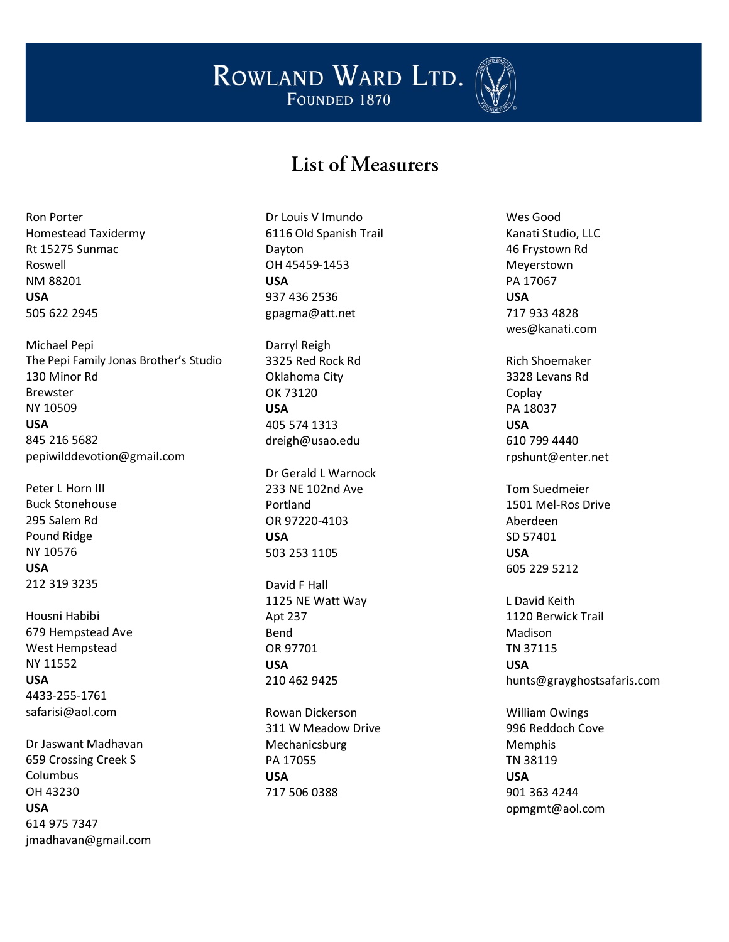

## List of Measurers

Ron Porter Homestead Taxidermy Rt 15275 Sunmac Roswell NM 88201 **USA** 505 622 2945

Michael Pepi The Pepi Family Jonas Brother's Studio 130 Minor Rd Brewster NY 10509 **USA** 845 216 5682 pepiwilddevotion@gmail.com

Peter L Horn III Buck Stonehouse 295 Salem Rd Pound Ridge NY 10576 **USA** 212 319 3235

Housni Habibi 679 Hempstead Ave West Hempstead NY 11552 **USA** 4433-255-1761 safarisi@aol.com

Dr Jaswant Madhavan 659 Crossing Creek S Columbus OH 43230 **USA** 614 975 7347 jmadhavan@gmail.com

Dr Louis V Imundo 6116 Old Spanish Trail Dayton OH 45459-1453 **USA** 937 436 2536 gpagma@att.net

Darryl Reigh 3325 Red Rock Rd Oklahoma City OK 73120 **USA** 405 574 1313 dreigh@usao.edu

Dr Gerald L Warnock 233 NE 102nd Ave Portland OR 97220-4103 **USA** 503 253 1105

David F Hall 1125 NE Watt Way Apt 237 Bend OR 97701 **USA** 210 462 9425

Rowan Dickerson 311 W Meadow Drive Mechanicsburg PA 17055 **USA** 717 506 0388

Wes Good Kanati Studio, LLC 46 Frystown Rd Meyerstown PA 17067 **USA** 717 933 4828 wes@kanati.com

Rich Shoemaker 3328 Levans Rd Coplay PA 18037 **USA** 610 799 4440 rpshunt@enter.net

Tom Suedmeier 1501 Mel-Ros Drive Aberdeen SD 57401 **USA** 605 229 5212

L David Keith 1120 Berwick Trail Madison TN 37115 **USA** hunts@grayghostsafaris.com

William Owings 996 Reddoch Cove Memphis TN 38119 **USA** 901 363 4244 opmgmt@aol.com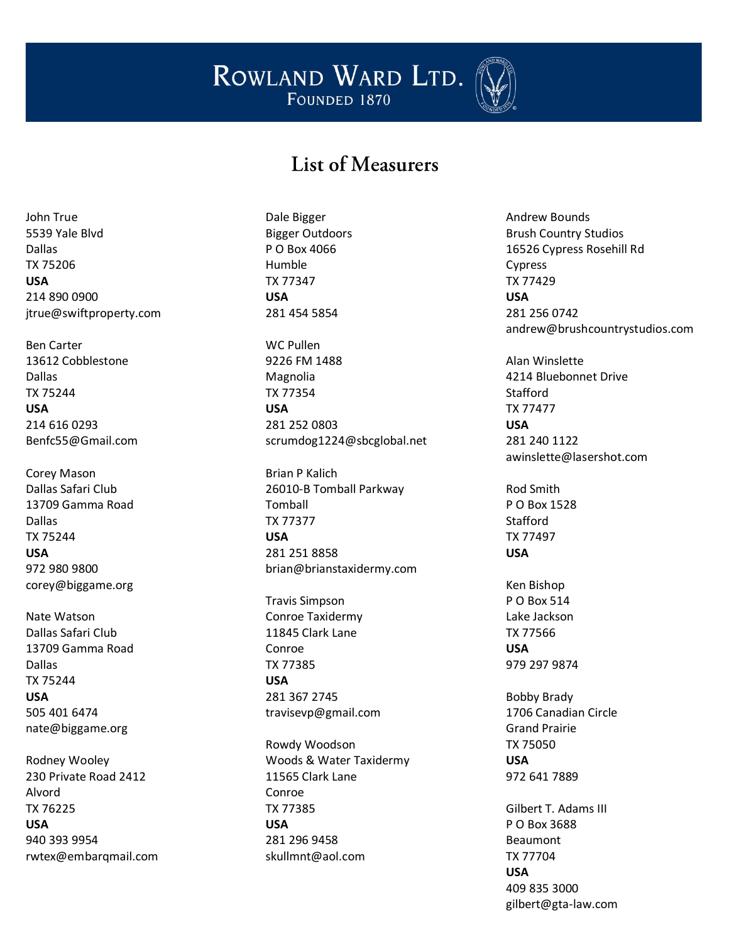

## List of Measurers

John True 5539 Yale Blvd Dallas TX 75206 **USA** 214 890 0900 jtrue@swiftproperty.com

Ben Carter 13612 Cobblestone Dallas TX 75244 **USA** 214 616 0293 Benfc55@Gmail.com

Corey Mason Dallas Safari Club 13709 Gamma Road Dallas TX 75244 **USA** 972 980 9800 corey@biggame.org

Nate Watson Dallas Safari Club 13709 Gamma Road Dallas TX 75244 **USA** 505 401 6474 nate@biggame.org

Rodney Wooley 230 Private Road 2412 Alvord TX 76225 **USA** 940 393 9954 rwtex@embarqmail.com Dale Bigger Bigger Outdoors P O Box 4066 Humble TX 77347 **USA** 281 454 5854

WC Pullen 9226 FM 1488 Magnolia TX 77354 **USA** 281 252 0803 scrumdog1224@sbcglobal.net

Brian P Kalich 26010-B Tomball Parkway Tomball TX 77377 **USA** 281 251 8858 brian@brianstaxidermy.com

Travis Simpson Conroe Taxidermy 11845 Clark Lane Conroe TX 77385 **USA** 281 367 2745 travisevp@gmail.com

Rowdy Woodson Woods & Water Taxidermy 11565 Clark Lane Conroe TX 77385 **USA** 281 296 9458 skullmnt@aol.com

Andrew Bounds Brush Country Studios 16526 Cypress Rosehill Rd Cypress TX 77429 **USA** 281 256 0742 andrew@brushcountrystudios.com

Alan Winslette 4214 Bluebonnet Drive **Stafford** TX 77477 **USA** 281 240 1122 awinslette@lasershot.com

Rod Smith P O Box 1528 Stafford TX 77497 **USA**

Ken Bishop P O Box 514 Lake Jackson TX 77566 **USA** 979 297 9874

Bobby Brady 1706 Canadian Circle Grand Prairie TX 75050 **USA** 972 641 7889

Gilbert T. Adams III P O Box 3688 Beaumont TX 77704 **USA** 409 835 3000 gilbert@gta-law.com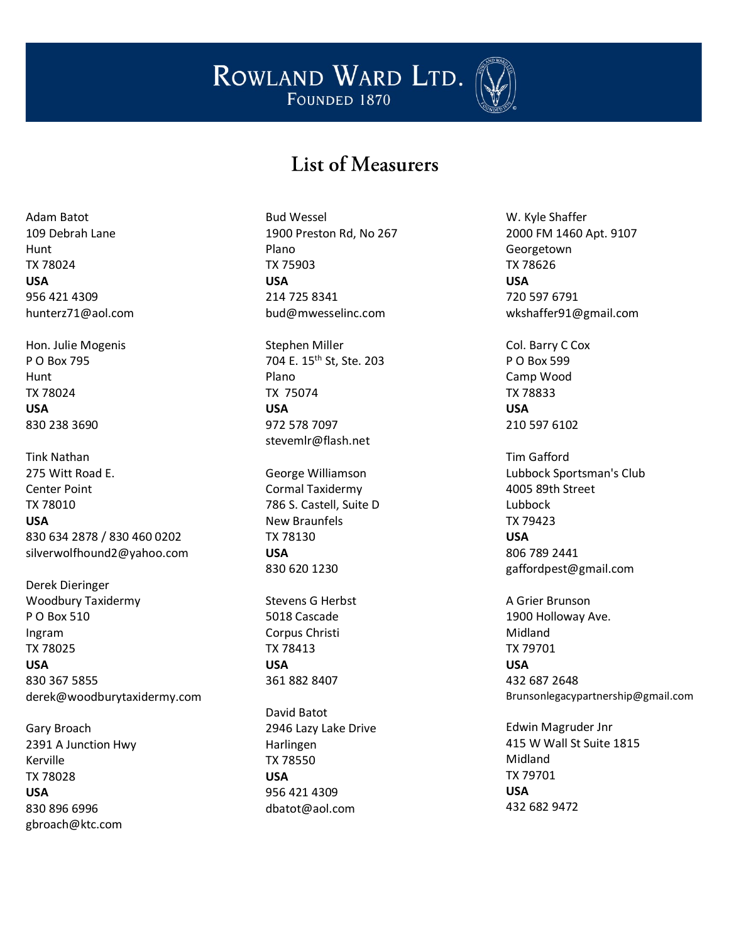

## List of Measurers

Adam Batot 109 Debrah Lane Hunt TX 78024 **USA** 956 421 4309 hunterz71@aol.com

Hon. Julie Mogenis P O Box 795 Hunt TX 78024 **USA** 830 238 3690

Tink Nathan 275 Witt Road E. Center Point TX 78010 **USA** 830 634 2878 / 830 460 0202 silverwolfhound2@yahoo.com

Derek Dieringer Woodbury Taxidermy P O Box 510 Ingram TX 78025 **USA** 830 367 5855 derek@woodburytaxidermy.com

Gary Broach 2391 A Junction Hwy Kerville TX 78028 **USA** 830 896 6996 gbroach@ktc.com

Bud Wessel 1900 Preston Rd, No 267 Plano TX 75903 **USA** 214 725 8341 bud@mwesselinc.com

Stephen Miller 704 E. 15<sup>th</sup> St, Ste. 203 Plano TX 75074 **USA** 972 578 7097 [stevemlr@flash.net](mailto:stevemlr@flash.net)

George Williamson Cormal Taxidermy 786 S. Castell, Suite D New Braunfels TX 78130 **USA** 830 620 1230

Stevens G Herbst 5018 Cascade Corpus Christi TX 78413 **USA** 361 882 8407

David Batot 2946 Lazy Lake Drive Harlingen TX 78550 **USA** 956 421 4309 dbatot@aol.com

W. Kyle Shaffer 2000 FM 1460 Apt. 9107 Georgetown TX 78626 **USA** 720 597 6791 wkshaffer91@gmail.com

Col. Barry C Cox P O Box 599 Camp Wood TX 78833 **USA** 210 597 6102

Tim Gafford Lubbock Sportsman's Club 4005 89th Street Lubbock TX 79423 **USA** 806 789 2441 gaffordpest@gmail.com

A Grier Brunson 1900 Holloway Ave. Midland TX 79701 **USA** 432 687 2648 Brunsonlegacypartnership@gmail.com

Edwin Magruder Jnr 415 W Wall St Suite 1815 Midland TX 79701 **USA** 432 682 9472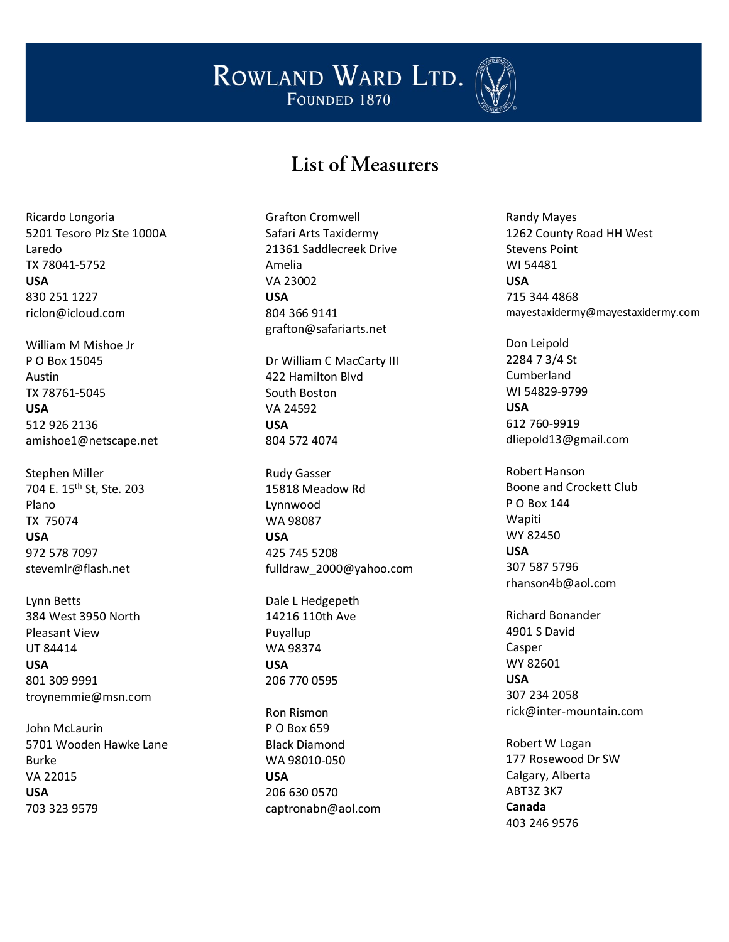

## List of Measurers

Ricardo Longoria 5201 Tesoro Plz Ste 1000A Laredo TX 78041-5752 **USA** 830 251 1227 riclon@icloud.com

William M Mishoe Jr P O Box 15045 Austin TX 78761-5045 **USA** 512 926 2136 amishoe1@netscape.net

Stephen Miller 704 E. 15th St, Ste. 203 Plano TX 75074 **USA** 972 578 7097 [stevemlr@flash.net](mailto:stevemlr@flash.net)

Lynn Betts 384 West 3950 North Pleasant View UT 84414 **USA** 801 309 9991 troynemmie@msn.com

John McLaurin 5701 Wooden Hawke Lane Burke VA 22015 **USA** 703 323 9579

Grafton Cromwell Safari Arts Taxidermy 21361 Saddlecreek Drive Amelia VA 23002 **USA** 804 366 9141 grafton@safariarts.net

Dr William C MacCarty III 422 Hamilton Blvd South Boston VA 24592 **USA** 804 572 4074

Rudy Gasser 15818 Meadow Rd Lynnwood WA 98087 **USA** 425 745 5208 fulldraw\_2000@yahoo.com

Dale L Hedgepeth 14216 110th Ave Puyallup WA 98374 **USA** 206 770 0595

Ron Rismon P O Box 659 Black Diamond WA 98010-050 **USA** 206 630 0570 captronabn@aol.com Randy Mayes 1262 County Road HH West Stevens Point WI 54481 **USA** 715 344 4868 mayestaxidermy@mayestaxidermy.com

Don Leipold 2284 7 3/4 St Cumberland WI 54829-9799 **USA** 612 760-9919 dliepold13@gmail.com

Robert Hanson Boone and Crockett Club P O Box 144 Wapiti WY 82450 **USA** 307 587 5796 rhanson4b@aol.com

Richard Bonander 4901 S David Casper WY 82601 **USA** 307 234 2058 rick@inter-mountain.com

Robert W Logan 177 Rosewood Dr SW Calgary, Alberta ABT3Z 3K7 **Canada** 403 246 9576